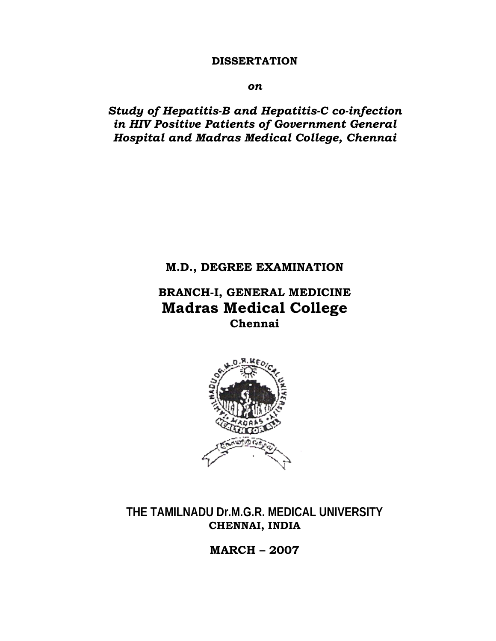### **DISSERTATION**

*on*

*Study of Hepatitis-B and Hepatitis-C co-infection in HIV Positive Patients of Government General Hospital and Madras Medical College, Chennai* 

# **M.D., DEGREE EXAMINATION**

# **BRANCH-I, GENERAL MEDICINE Madras Medical College Chennai**



**THE TAMILNADU Dr.M.G.R. MEDICAL UNIVERSITY CHENNAI, INDIA** 

**MARCH – 2007**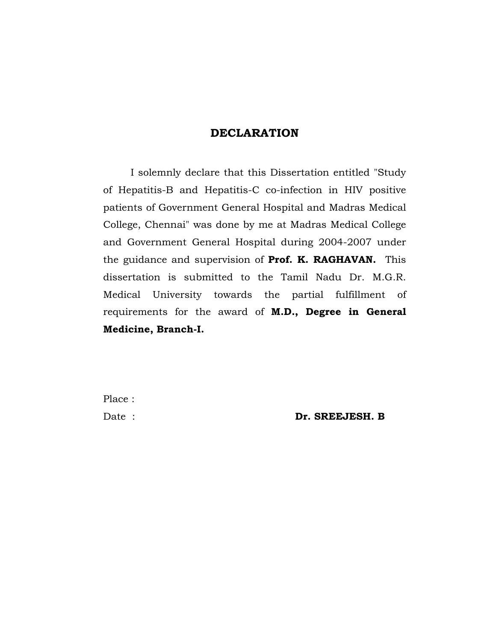## **DECLARATION**

 I solemnly declare that this Dissertation entitled "Study of Hepatitis-B and Hepatitis-C co-infection in HIV positive patients of Government General Hospital and Madras Medical College, Chennai" was done by me at Madras Medical College and Government General Hospital during 2004-2007 under the guidance and supervision of **Prof. K. RAGHAVAN.** This dissertation is submitted to the Tamil Nadu Dr. M.G.R. Medical University towards the partial fulfillment of requirements for the award of **M.D., Degree in General Medicine, Branch-I.**

Place :

Date : **Dr. SREEJESH. B**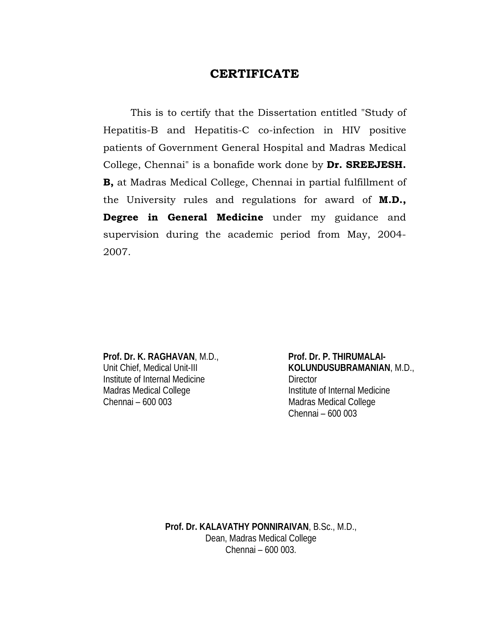# **CERTIFICATE**

 This is to certify that the Dissertation entitled "Study of Hepatitis-B and Hepatitis-C co-infection in HIV positive patients of Government General Hospital and Madras Medical College, Chennai" is a bonafide work done by **Dr. SREEJESH. B,** at Madras Medical College, Chennai in partial fulfillment of the University rules and regulations for award of **M.D., Degree in General Medicine** under my guidance and supervision during the academic period from May, 2004- 2007.

Institute of Internal Medicine **Director** Madras Medical College Institute of Internal Medicine Chennai – 600 003 Madras Medical College

Prof. Dr. K. RAGHAVAN, M.D., Prof. Dr. P. THIRUMALAI-Unit Chief, Medical Unit-III **KOLUNDUSUBRAMANIAN**, M.D., Chennai – 600 003

> **Prof. Dr. KALAVATHY PONNIRAIVAN**, B.Sc., M.D., Dean, Madras Medical College Chennai – 600 003.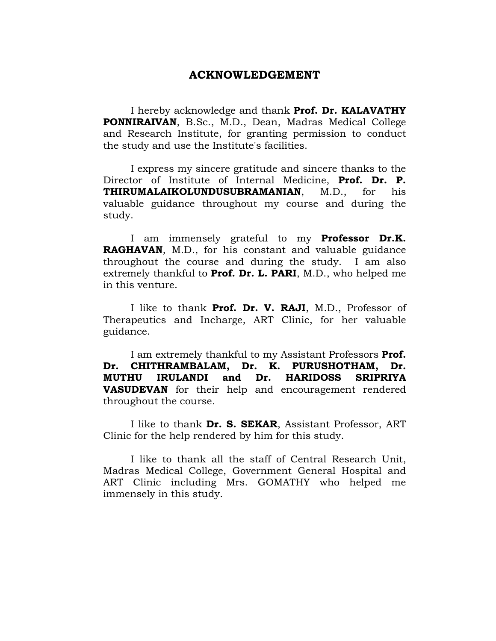#### **ACKNOWLEDGEMENT**

I hereby acknowledge and thank **Prof. Dr. KALAVATHY PONNIRAIVAN**, B.Sc., M.D., Dean, Madras Medical College and Research Institute, for granting permission to conduct the study and use the Institute's facilities.

 I express my sincere gratitude and sincere thanks to the Director of Institute of Internal Medicine, **Prof. Dr. P. THIRUMALAIKOLUNDUSUBRAMANIAN**, M.D., for his valuable guidance throughout my course and during the study.

 I am immensely grateful to my **Professor Dr.K. RAGHAVAN**, M.D., for his constant and valuable guidance throughout the course and during the study. I am also extremely thankful to **Prof. Dr. L. PARI**, M.D., who helped me in this venture.

 I like to thank **Prof. Dr. V. RAJI**, M.D., Professor of Therapeutics and Incharge, ART Clinic, for her valuable guidance.

 I am extremely thankful to my Assistant Professors **Prof. Dr. CHITHRAMBALAM, Dr. K. PURUSHOTHAM, Dr. MUTHU IRULANDI and Dr. HARIDOSS SRIPRIYA VASUDEVAN** for their help and encouragement rendered throughout the course.

 I like to thank **Dr. S. SEKAR**, Assistant Professor, ART Clinic for the help rendered by him for this study.

 I like to thank all the staff of Central Research Unit, Madras Medical College, Government General Hospital and ART Clinic including Mrs. GOMATHY who helped me immensely in this study.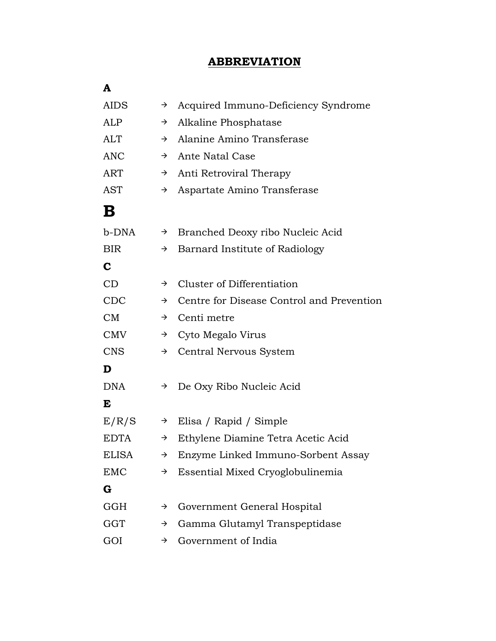# **ABBREVIATION**

| A            |               |                                           |
|--------------|---------------|-------------------------------------------|
| <b>AIDS</b>  | $\rightarrow$ | Acquired Immuno-Deficiency Syndrome       |
| ALP          | $\rightarrow$ | Alkaline Phosphatase                      |
| <b>ALT</b>   | $\rightarrow$ | Alanine Amino Transferase                 |
| <b>ANC</b>   | $\rightarrow$ | Ante Natal Case                           |
| <b>ART</b>   | $\rightarrow$ | Anti Retroviral Therapy                   |
| AST          | $\rightarrow$ | Aspartate Amino Transferase               |
| В            |               |                                           |
| b-DNA        | →             | Branched Deoxy ribo Nucleic Acid          |
| <b>BIR</b>   | $\rightarrow$ | Barnard Institute of Radiology            |
| C            |               |                                           |
| CD           | $\rightarrow$ | Cluster of Differentiation                |
| CDC          | $\rightarrow$ | Centre for Disease Control and Prevention |
| CM           | $\rightarrow$ | Centi metre                               |
| <b>CMV</b>   | $\rightarrow$ | Cyto Megalo Virus                         |
| <b>CNS</b>   | $\rightarrow$ | Central Nervous System                    |
| D            |               |                                           |
| <b>DNA</b>   | $\rightarrow$ | De Oxy Ribo Nucleic Acid                  |
| E            |               |                                           |
| E/R/S        | $\rightarrow$ | Elisa / Rapid / Simple                    |
| <b>EDTA</b>  | $\rightarrow$ | Ethylene Diamine Tetra Acetic Acid        |
| <b>ELISA</b> | $\rightarrow$ | Enzyme Linked Immuno-Sorbent Assay        |
| <b>EMC</b>   | $\rightarrow$ | Essential Mixed Cryoglobulinemia          |
| G            |               |                                           |
| <b>GGH</b>   | $\rightarrow$ | Government General Hospital               |
| <b>GGT</b>   | →             | Gamma Glutamyl Transpeptidase             |
| GOI          | $\rightarrow$ | Government of India                       |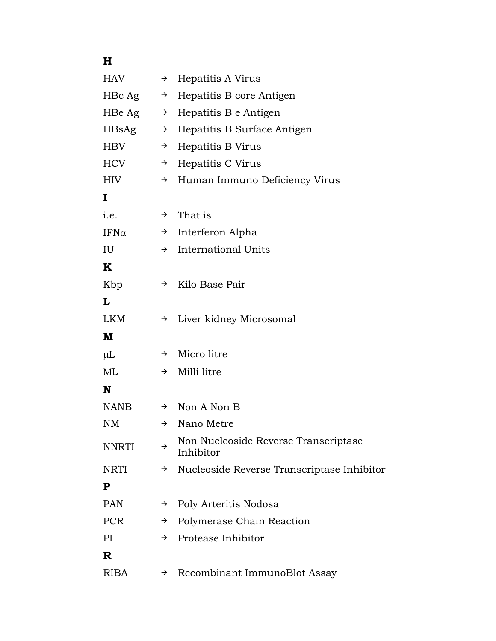# **H**

| <b>HAV</b>   | $\rightarrow$ | Hepatitis A Virus                                 |
|--------------|---------------|---------------------------------------------------|
| HBc Ag       | $\rightarrow$ | Hepatitis B core Antigen                          |
| HBe Ag       | $\rightarrow$ | Hepatitis B e Antigen                             |
| HBsAg        | $\rightarrow$ | Hepatitis B Surface Antigen                       |
| <b>HBV</b>   | $\rightarrow$ | Hepatitis B Virus                                 |
| HCV          | $\rightarrow$ | Hepatitis C Virus                                 |
| <b>HIV</b>   | $\rightarrow$ | Human Immuno Deficiency Virus                     |
| I            |               |                                                   |
| i.e.         |               | $\rightarrow$ That is                             |
| $IFN\alpha$  |               | $\rightarrow$ Interferon Alpha                    |
| IU           | $\rightarrow$ | <b>International Units</b>                        |
| K            |               |                                                   |
| Kbp          | $\rightarrow$ | Kilo Base Pair                                    |
| L            |               |                                                   |
| LKM          | $\rightarrow$ | Liver kidney Microsomal                           |
| M            |               |                                                   |
| $\mu$ L      | $\rightarrow$ | Micro litre                                       |
| ML           | $\rightarrow$ | Milli litre                                       |
| N            |               |                                                   |
| NANB         | $\rightarrow$ | Non A Non B                                       |
| <b>NM</b>    | $\rightarrow$ | Nano Metre                                        |
| <b>NNRTI</b> | $\rightarrow$ | Non Nucleoside Reverse Transcriptase<br>Inhibitor |
| <b>NRTI</b>  | $\rightarrow$ | Nucleoside Reverse Transcriptase Inhibitor        |
| ${\bf P}$    |               |                                                   |
| <b>PAN</b>   | $\rightarrow$ | Poly Arteritis Nodosa                             |
| <b>PCR</b>   | $\rightarrow$ | Polymerase Chain Reaction                         |
| PI           | $\rightarrow$ | Protease Inhibitor                                |
| R            |               |                                                   |
| <b>RIBA</b>  | →             | Recombinant ImmunoBlot Assay                      |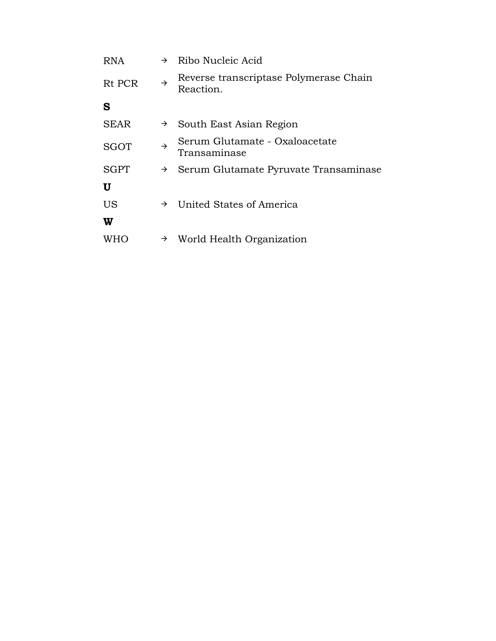| <b>RNA</b>  | $\rightarrow$ | Ribo Nucleic Acid                                   |
|-------------|---------------|-----------------------------------------------------|
| Rt PCR      | $\rightarrow$ | Reverse transcriptase Polymerase Chain<br>Reaction. |
| S           |               |                                                     |
| <b>SEAR</b> | $\rightarrow$ | South East Asian Region                             |
| <b>SGOT</b> | $\rightarrow$ | Serum Glutamate - Oxaloacetate<br>Transaminase      |
| <b>SGPT</b> | $\rightarrow$ | Serum Glutamate Pyruvate Transaminase               |
| U           |               |                                                     |
| <b>US</b>   | →             | United States of America                            |
| W           |               |                                                     |
| WHO         | →             | World Health Organization                           |
|             |               |                                                     |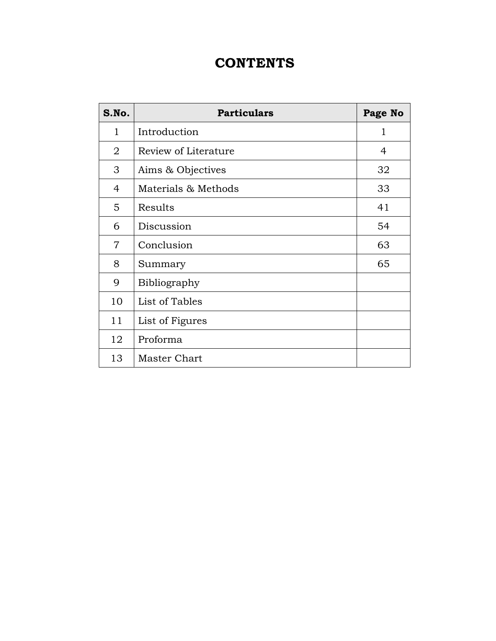# **CONTENTS**

| S.No.          | <b>Particulars</b>   | Page No      |
|----------------|----------------------|--------------|
| $\mathbf{1}$   | Introduction         | $\mathbf{1}$ |
| $\overline{2}$ | Review of Literature | 4            |
| 3              | Aims & Objectives    | 32           |
| 4              | Materials & Methods  | 33           |
| 5              | Results              | 41           |
| 6              | Discussion           | 54           |
| $\overline{7}$ | Conclusion           | 63           |
| 8              | Summary              | 65           |
| 9              | Bibliography         |              |
| 10             | List of Tables       |              |
| 11             | List of Figures      |              |
| 12             | Proforma             |              |
| 13             | <b>Master Chart</b>  |              |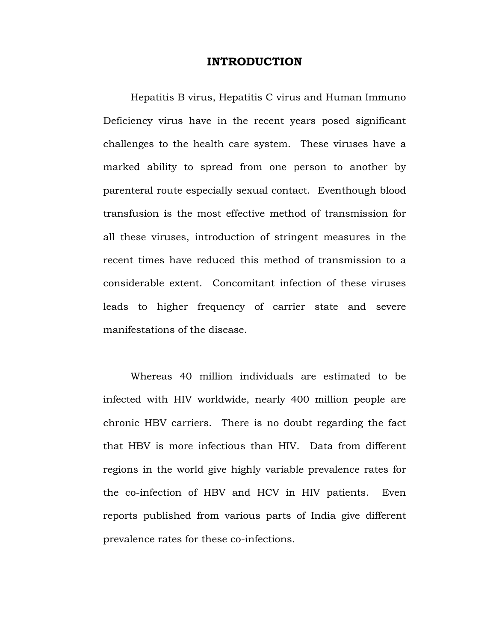#### **INTRODUCTION**

 Hepatitis B virus, Hepatitis C virus and Human Immuno Deficiency virus have in the recent years posed significant challenges to the health care system. These viruses have a marked ability to spread from one person to another by parenteral route especially sexual contact. Eventhough blood transfusion is the most effective method of transmission for all these viruses, introduction of stringent measures in the recent times have reduced this method of transmission to a considerable extent. Concomitant infection of these viruses leads to higher frequency of carrier state and severe manifestations of the disease.

 Whereas 40 million individuals are estimated to be infected with HIV worldwide, nearly 400 million people are chronic HBV carriers. There is no doubt regarding the fact that HBV is more infectious than HIV. Data from different regions in the world give highly variable prevalence rates for the co-infection of HBV and HCV in HIV patients. Even reports published from various parts of India give different prevalence rates for these co-infections.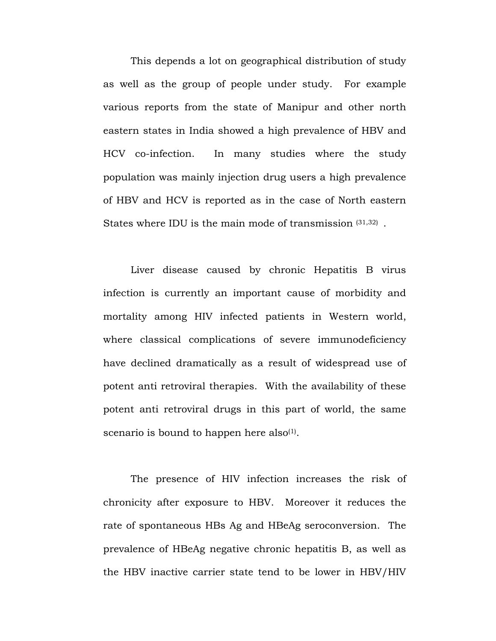This depends a lot on geographical distribution of study as well as the group of people under study. For example various reports from the state of Manipur and other north eastern states in India showed a high prevalence of HBV and HCV co-infection. In many studies where the study population was mainly injection drug users a high prevalence of HBV and HCV is reported as in the case of North eastern States where IDU is the main mode of transmission (31,32) .

 Liver disease caused by chronic Hepatitis B virus infection is currently an important cause of morbidity and mortality among HIV infected patients in Western world, where classical complications of severe immunodeficiency have declined dramatically as a result of widespread use of potent anti retroviral therapies. With the availability of these potent anti retroviral drugs in this part of world, the same scenario is bound to happen here also<sup>(1)</sup>.

 The presence of HIV infection increases the risk of chronicity after exposure to HBV. Moreover it reduces the rate of spontaneous HBs Ag and HBeAg seroconversion. The prevalence of HBeAg negative chronic hepatitis B, as well as the HBV inactive carrier state tend to be lower in HBV/HIV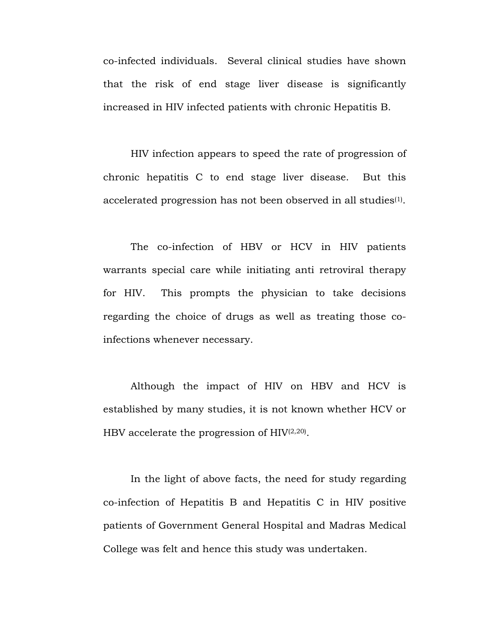co-infected individuals. Several clinical studies have shown that the risk of end stage liver disease is significantly increased in HIV infected patients with chronic Hepatitis B.

 HIV infection appears to speed the rate of progression of chronic hepatitis C to end stage liver disease. But this accelerated progression has not been observed in all studies<sup>(1)</sup>.

 The co-infection of HBV or HCV in HIV patients warrants special care while initiating anti retroviral therapy for HIV. This prompts the physician to take decisions regarding the choice of drugs as well as treating those coinfections whenever necessary.

 Although the impact of HIV on HBV and HCV is established by many studies, it is not known whether HCV or HBV accelerate the progression of  $HIV^{(2,20)}$ .

 In the light of above facts, the need for study regarding co-infection of Hepatitis B and Hepatitis C in HIV positive patients of Government General Hospital and Madras Medical College was felt and hence this study was undertaken.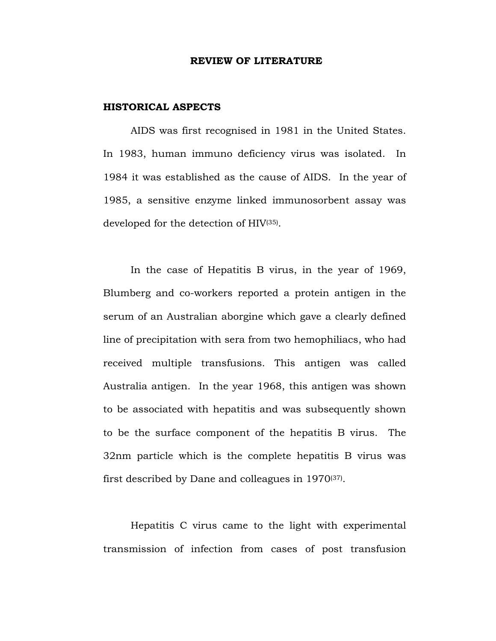#### **REVIEW OF LITERATURE**

#### **HISTORICAL ASPECTS**

AIDS was first recognised in 1981 in the United States. In 1983, human immuno deficiency virus was isolated. In 1984 it was established as the cause of AIDS. In the year of 1985, a sensitive enzyme linked immunosorbent assay was developed for the detection of HIV(35).

In the case of Hepatitis B virus, in the year of 1969, Blumberg and co-workers reported a protein antigen in the serum of an Australian aborgine which gave a clearly defined line of precipitation with sera from two hemophiliacs, who had received multiple transfusions. This antigen was called Australia antigen. In the year 1968, this antigen was shown to be associated with hepatitis and was subsequently shown to be the surface component of the hepatitis B virus. The 32nm particle which is the complete hepatitis B virus was first described by Dane and colleagues in 1970(37).

Hepatitis C virus came to the light with experimental transmission of infection from cases of post transfusion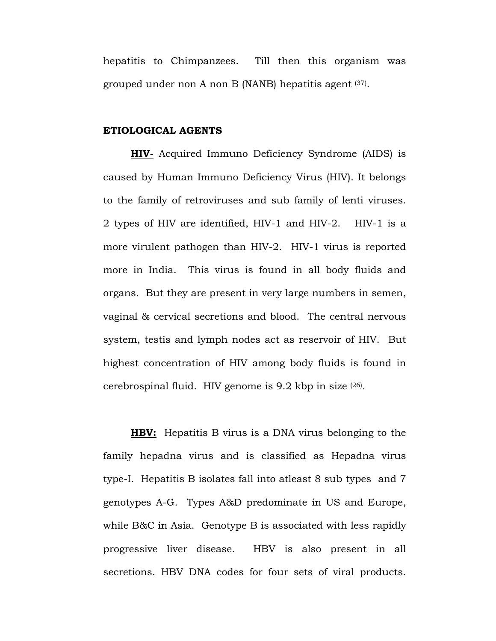hepatitis to Chimpanzees. Till then this organism was grouped under non A non B (NANB) hepatitis agent  $(37)$ .

#### **ETIOLOGICAL AGENTS**

**HIV-** Acquired Immuno Deficiency Syndrome (AIDS) is caused by Human Immuno Deficiency Virus (HIV). It belongs to the family of retroviruses and sub family of lenti viruses. 2 types of HIV are identified, HIV-1 and HIV-2. HIV-1 is a more virulent pathogen than HIV-2. HIV-1 virus is reported more in India. This virus is found in all body fluids and organs. But they are present in very large numbers in semen, vaginal & cervical secretions and blood. The central nervous system, testis and lymph nodes act as reservoir of HIV. But highest concentration of HIV among body fluids is found in cerebrospinal fluid. HIV genome is  $9.2$  kbp in size  $(26)$ .

**HBV:** Hepatitis B virus is a DNA virus belonging to the family hepadna virus and is classified as Hepadna virus type-I. Hepatitis B isolates fall into atleast 8 sub types and 7 genotypes A-G. Types A&D predominate in US and Europe, while B&C in Asia. Genotype B is associated with less rapidly progressive liver disease. HBV is also present in all secretions. HBV DNA codes for four sets of viral products.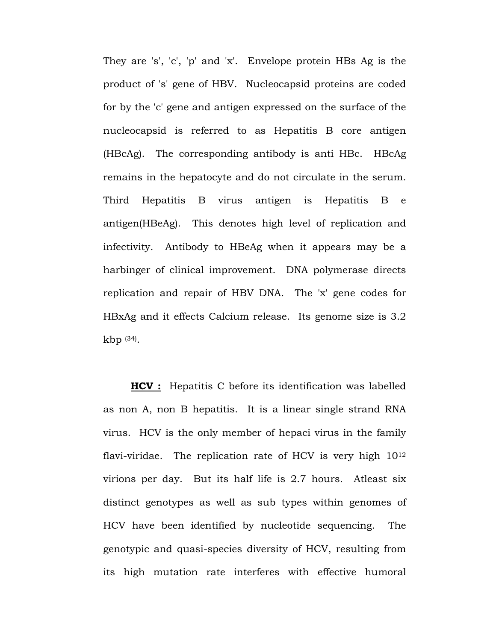They are 's', 'c', 'p' and 'x'. Envelope protein HBs Ag is the product of 's' gene of HBV. Nucleocapsid proteins are coded for by the 'c' gene and antigen expressed on the surface of the nucleocapsid is referred to as Hepatitis B core antigen (HBcAg). The corresponding antibody is anti HBc. HBcAg remains in the hepatocyte and do not circulate in the serum. Third Hepatitis B virus antigen is Hepatitis B e antigen(HBeAg). This denotes high level of replication and infectivity. Antibody to HBeAg when it appears may be a harbinger of clinical improvement. DNA polymerase directs replication and repair of HBV DNA. The 'x' gene codes for HBxAg and it effects Calcium release. Its genome size is 3.2 kbp (34).

**HCV :** Hepatitis C before its identification was labelled as non A, non B hepatitis. It is a linear single strand RNA virus. HCV is the only member of hepaci virus in the family flavi-viridae. The replication rate of HCV is very high  $10^{12}$ virions per day. But its half life is 2.7 hours. Atleast six distinct genotypes as well as sub types within genomes of HCV have been identified by nucleotide sequencing. The genotypic and quasi-species diversity of HCV, resulting from its high mutation rate interferes with effective humoral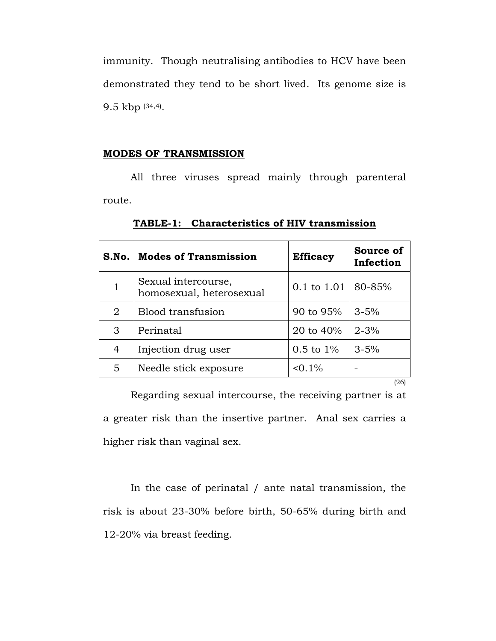immunity. Though neutralising antibodies to HCV have been demonstrated they tend to be short lived. Its genome size is 9.5 kbp (34,4).

#### **MODES OF TRANSMISSION**

 All three viruses spread mainly through parenteral route.

|              | S.No.   Modes of Transmission                   | <b>Efficacy</b>       | Source of<br>Infection |
|--------------|-------------------------------------------------|-----------------------|------------------------|
| $\mathbf{1}$ | Sexual intercourse,<br>homosexual, heterosexual | 0.1 to 1.01           | 80-85%                 |
| 2            | Blood transfusion                               | 90 to 95%             | $3 - 5%$               |
| 3            | Perinatal                                       | 20 to $40%$           | $2 - 3%$               |
| 4            | Injection drug user                             | $0.5 \text{ to } 1\%$ | $3 - 5%$               |
| 5            | Needle stick exposure                           | $0.1\%$               |                        |
|              |                                                 |                       | (26)                   |

**TABLE-1: Characteristics of HIV transmission**

 Regarding sexual intercourse, the receiving partner is at a greater risk than the insertive partner. Anal sex carries a higher risk than vaginal sex.

 In the case of perinatal / ante natal transmission, the risk is about 23-30% before birth, 50-65% during birth and 12-20% via breast feeding.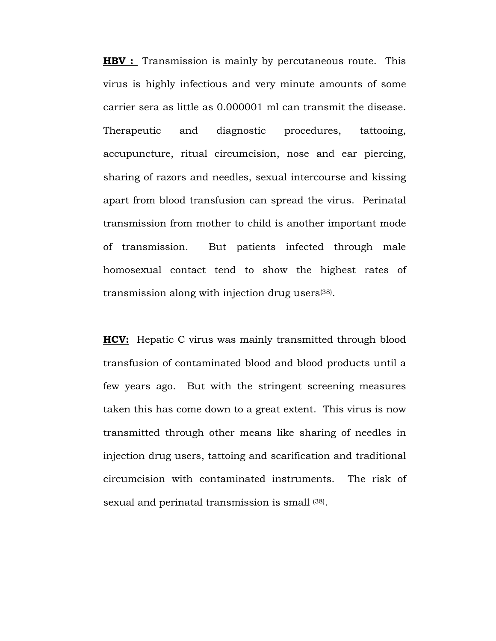**HBV** : Transmission is mainly by percutaneous route. This virus is highly infectious and very minute amounts of some carrier sera as little as 0.000001 ml can transmit the disease. Therapeutic and diagnostic procedures, tattooing, accupuncture, ritual circumcision, nose and ear piercing, sharing of razors and needles, sexual intercourse and kissing apart from blood transfusion can spread the virus. Perinatal transmission from mother to child is another important mode of transmission. But patients infected through male homosexual contact tend to show the highest rates of transmission along with injection drug users(38).

**HCV:** Hepatic C virus was mainly transmitted through blood transfusion of contaminated blood and blood products until a few years ago. But with the stringent screening measures taken this has come down to a great extent. This virus is now transmitted through other means like sharing of needles in injection drug users, tattoing and scarification and traditional circumcision with contaminated instruments. The risk of sexual and perinatal transmission is small (38).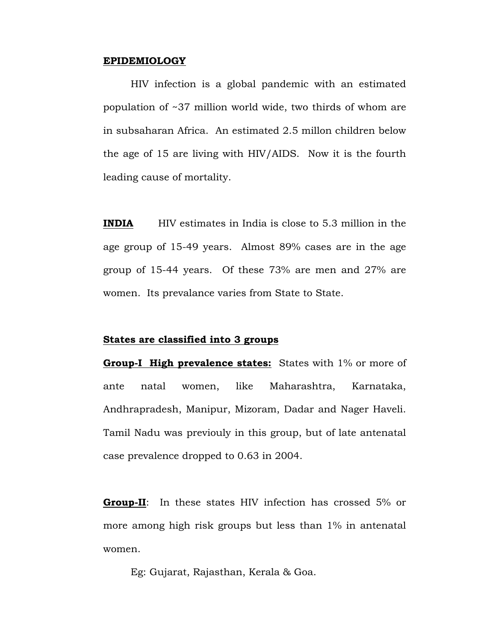#### **EPIDEMIOLOGY**

 HIV infection is a global pandemic with an estimated population of ~37 million world wide, two thirds of whom are in subsaharan Africa. An estimated 2.5 millon children below the age of 15 are living with HIV/AIDS. Now it is the fourth leading cause of mortality.

**INDIA** HIV estimates in India is close to 5.3 million in the age group of 15-49 years. Almost 89% cases are in the age group of 15-44 years. Of these 73% are men and 27% are women. Its prevalance varies from State to State.

#### **States are classified into 3 groups**

**Group-I High prevalence states:** States with 1% or more of ante natal women, like Maharashtra, Karnataka, Andhrapradesh, Manipur, Mizoram, Dadar and Nager Haveli. Tamil Nadu was previouly in this group, but of late antenatal case prevalence dropped to 0.63 in 2004.

**Group-II**: In these states HIV infection has crossed 5% or more among high risk groups but less than 1% in antenatal women.

Eg: Gujarat, Rajasthan, Kerala & Goa.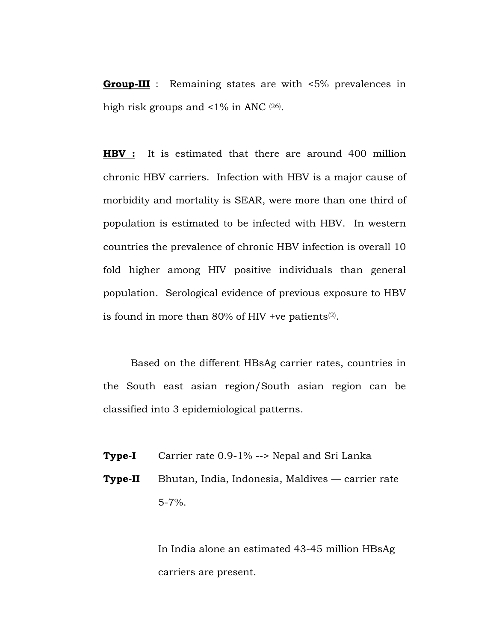**Group-III** : Remaining states are with <5% prevalences in high risk groups and <1% in ANC (26).

**HBV :** It is estimated that there are around 400 million chronic HBV carriers. Infection with HBV is a major cause of morbidity and mortality is SEAR, were more than one third of population is estimated to be infected with HBV. In western countries the prevalence of chronic HBV infection is overall 10 fold higher among HIV positive individuals than general population. Serological evidence of previous exposure to HBV is found in more than  $80\%$  of HIV +ve patients<sup>(2)</sup>.

 Based on the different HBsAg carrier rates, countries in the South east asian region/South asian region can be classified into 3 epidemiological patterns.

- **Type-I** Carrier rate 0.9-1% --> Nepal and Sri Lanka
- **Type-II** Bhutan, India, Indonesia, Maldives carrier rate 5-7%.

 In India alone an estimated 43-45 million HBsAg carriers are present.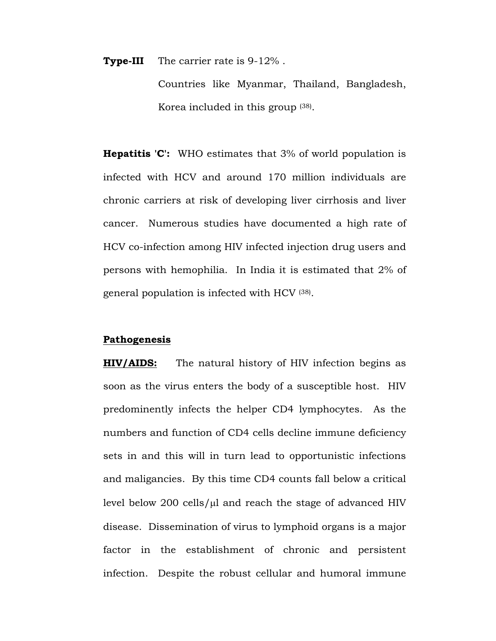**Type-III** The carrier rate is 9-12% .

Countries like Myanmar, Thailand, Bangladesh, Korea included in this group (38).

**Hepatitis 'C':** WHO estimates that 3% of world population is infected with HCV and around 170 million individuals are chronic carriers at risk of developing liver cirrhosis and liver cancer. Numerous studies have documented a high rate of HCV co-infection among HIV infected injection drug users and persons with hemophilia. In India it is estimated that 2% of general population is infected with HCV (38).

#### **Pathogenesis**

**HIV/AIDS:** The natural history of HIV infection begins as soon as the virus enters the body of a susceptible host. HIV predominently infects the helper CD4 lymphocytes. As the numbers and function of CD4 cells decline immune deficiency sets in and this will in turn lead to opportunistic infections and maligancies. By this time CD4 counts fall below a critical level below 200 cells/ $\mu$ l and reach the stage of advanced HIV disease. Dissemination of virus to lymphoid organs is a major factor in the establishment of chronic and persistent infection. Despite the robust cellular and humoral immune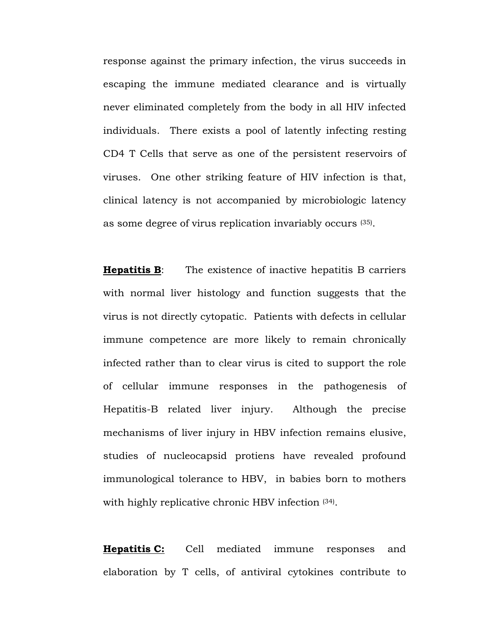response against the primary infection, the virus succeeds in escaping the immune mediated clearance and is virtually never eliminated completely from the body in all HIV infected individuals. There exists a pool of latently infecting resting CD4 T Cells that serve as one of the persistent reservoirs of viruses. One other striking feature of HIV infection is that, clinical latency is not accompanied by microbiologic latency as some degree of virus replication invariably occurs (35).

**Hepatitis B**: The existence of inactive hepatitis B carriers with normal liver histology and function suggests that the virus is not directly cytopatic. Patients with defects in cellular immune competence are more likely to remain chronically infected rather than to clear virus is cited to support the role of cellular immune responses in the pathogenesis of Hepatitis-B related liver injury. Although the precise mechanisms of liver injury in HBV infection remains elusive, studies of nucleocapsid protiens have revealed profound immunological tolerance to HBV, in babies born to mothers with highly replicative chronic HBV infection  $(34)$ .

**Hepatitis C:** Cell mediated immune responses and elaboration by T cells, of antiviral cytokines contribute to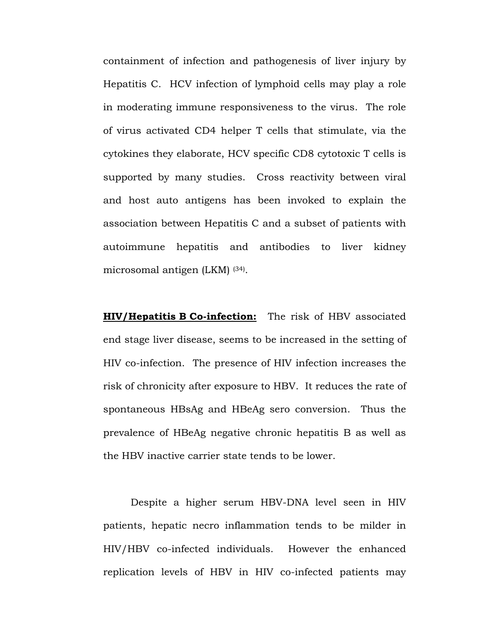containment of infection and pathogenesis of liver injury by Hepatitis C. HCV infection of lymphoid cells may play a role in moderating immune responsiveness to the virus. The role of virus activated CD4 helper T cells that stimulate, via the cytokines they elaborate, HCV specific CD8 cytotoxic T cells is supported by many studies. Cross reactivity between viral and host auto antigens has been invoked to explain the association between Hepatitis C and a subset of patients with autoimmune hepatitis and antibodies to liver kidney microsomal antigen (LKM) (34).

**HIV/Hepatitis B Co-infection:** The risk of HBV associated end stage liver disease, seems to be increased in the setting of HIV co-infection. The presence of HIV infection increases the risk of chronicity after exposure to HBV. It reduces the rate of spontaneous HBsAg and HBeAg sero conversion. Thus the prevalence of HBeAg negative chronic hepatitis B as well as the HBV inactive carrier state tends to be lower.

 Despite a higher serum HBV-DNA level seen in HIV patients, hepatic necro inflammation tends to be milder in HIV/HBV co-infected individuals. However the enhanced replication levels of HBV in HIV co-infected patients may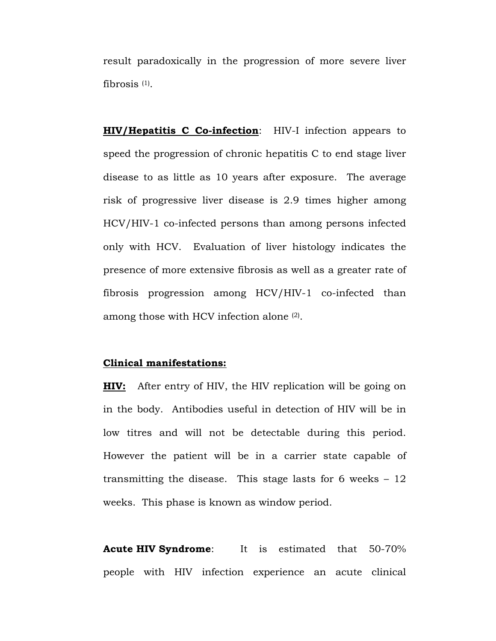result paradoxically in the progression of more severe liver fibrosis  $(1)$ .

**HIV/Hepatitis C Co-infection**: HIV-I infection appears to speed the progression of chronic hepatitis C to end stage liver disease to as little as 10 years after exposure. The average risk of progressive liver disease is 2.9 times higher among HCV/HIV-1 co-infected persons than among persons infected only with HCV. Evaluation of liver histology indicates the presence of more extensive fibrosis as well as a greater rate of fibrosis progression among HCV/HIV-1 co-infected than among those with HCV infection alone (2).

#### **Clinical manifestations:**

**HIV:** After entry of HIV, the HIV replication will be going on in the body. Antibodies useful in detection of HIV will be in low titres and will not be detectable during this period. However the patient will be in a carrier state capable of transmitting the disease. This stage lasts for 6 weeks – 12 weeks. This phase is known as window period.

**Acute HIV Syndrome**: It is estimated that 50-70% people with HIV infection experience an acute clinical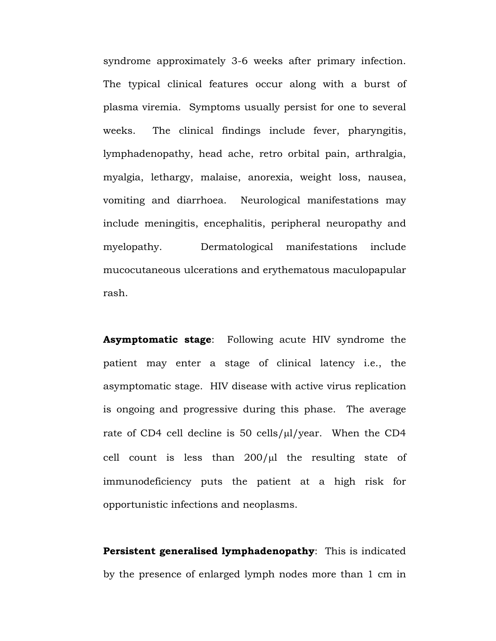syndrome approximately 3-6 weeks after primary infection. The typical clinical features occur along with a burst of plasma viremia. Symptoms usually persist for one to several weeks. The clinical findings include fever, pharyngitis, lymphadenopathy, head ache, retro orbital pain, arthralgia, myalgia, lethargy, malaise, anorexia, weight loss, nausea, vomiting and diarrhoea. Neurological manifestations may include meningitis, encephalitis, peripheral neuropathy and myelopathy. Dermatological manifestations include mucocutaneous ulcerations and erythematous maculopapular rash.

**Asymptomatic stage**: Following acute HIV syndrome the patient may enter a stage of clinical latency i.e., the asymptomatic stage. HIV disease with active virus replication is ongoing and progressive during this phase. The average rate of CD4 cell decline is 50 cells/µl/year. When the CD4 cell count is less than  $200/\mu$  the resulting state of immunodeficiency puts the patient at a high risk for opportunistic infections and neoplasms.

**Persistent generalised lymphadenopathy**: This is indicated by the presence of enlarged lymph nodes more than 1 cm in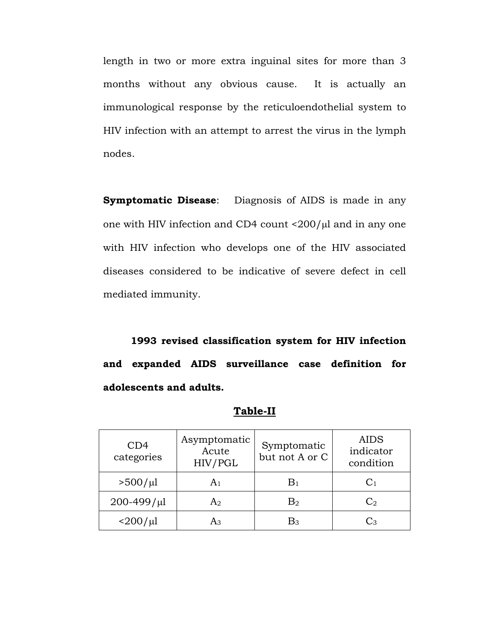length in two or more extra inguinal sites for more than 3 months without any obvious cause. It is actually an immunological response by the reticuloendothelial system to HIV infection with an attempt to arrest the virus in the lymph nodes.

**Symptomatic Disease**: Diagnosis of AIDS is made in any one with HIV infection and CD4 count  $\langle 200/\mu$ l and in any one with HIV infection who develops one of the HIV associated diseases considered to be indicative of severe defect in cell mediated immunity.

**1993 revised classification system for HIV infection and expanded AIDS surveillance case definition for adolescents and adults.** 

| CD4<br>categories   | Asymptomatic<br>Acute<br>HIV/PGL | Symptomatic<br>but not A or C | <b>AIDS</b><br>indicator<br>condition |
|---------------------|----------------------------------|-------------------------------|---------------------------------------|
| $>500/\mu l$        | A1                               | $\rm{B}_{1}$                  |                                       |
| $200 - 499 / \mu l$ | A2                               | $\mathrm{B}_2$                | $\mathrm{C}_2$                        |
| $<$ 200/ $\mu$ l    | Aз                               | Bз                            | Ωз                                    |

#### **Table-II**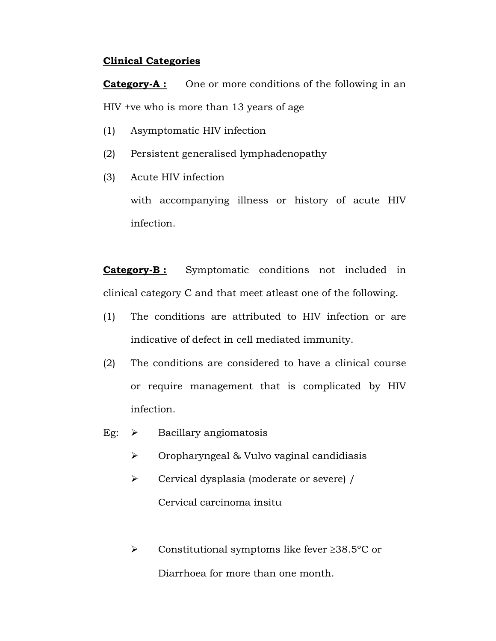## **Clinical Categories**

**Category-A :** One or more conditions of the following in an HIV +ve who is more than 13 years of age

- (1) Asymptomatic HIV infection
- (2) Persistent generalised lymphadenopathy
- (3) Acute HIV infection

with accompanying illness or history of acute HIV infection.

**Category-B :** Symptomatic conditions not included in clinical category C and that meet atleast one of the following.

- (1) The conditions are attributed to HIV infection or are indicative of defect in cell mediated immunity.
- (2) The conditions are considered to have a clinical course or require management that is complicated by HIV infection.
- Eg:  $\triangleright$  Bacillary angiomatosis
	- $\triangleright$  Oropharyngeal & Vulvo vaginal candidiasis
	- ¾ Cervical dysplasia (moderate or severe) / Cervical carcinoma insitu
	- ¾ Constitutional symptoms like fever ≥38.5ºC or Diarrhoea for more than one month.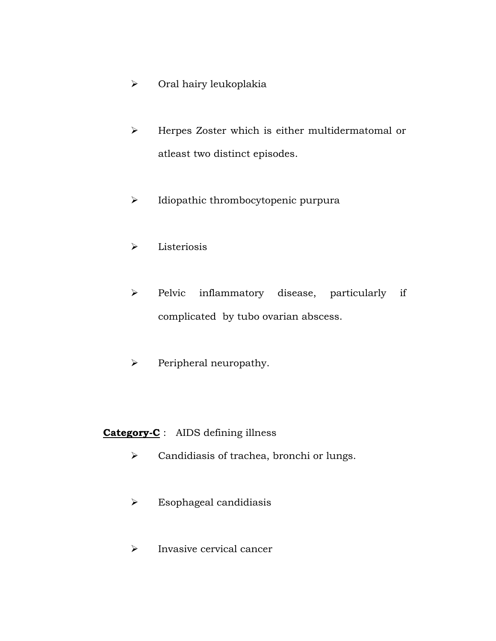- ¾ Oral hairy leukoplakia
- ¾ Herpes Zoster which is either multidermatomal or atleast two distinct episodes.
- ¾ Idiopathic thrombocytopenic purpura
- $\triangleright$  Listeriosis
- ¾ Pelvic inflammatory disease, particularly if complicated by tubo ovarian abscess.
- $\triangleright$  Peripheral neuropathy.

# **Category-C** : AIDS defining illness

- ¾ Candidiasis of trachea, bronchi or lungs.
- $\triangleright$  Esophageal candidiasis
- ¾ Invasive cervical cancer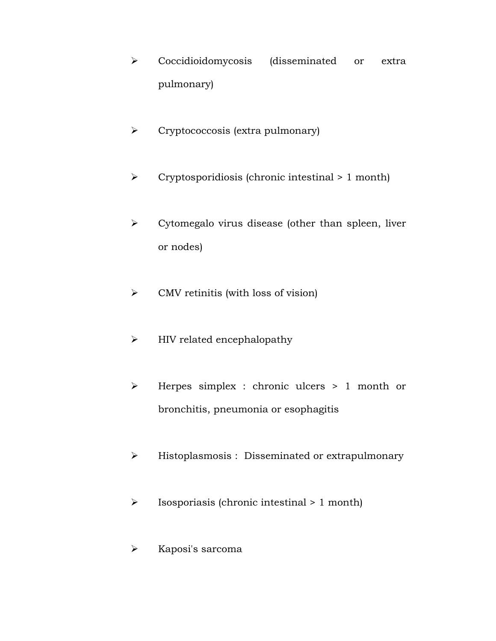- ¾ Coccidioidomycosis (disseminated or extra pulmonary)
- ¾ Cryptococcosis (extra pulmonary)
- ¾ Cryptosporidiosis (chronic intestinal > 1 month)
- $\triangleright$  Cytomegalo virus disease (other than spleen, liver or nodes)
- $\triangleright$  CMV retinitis (with loss of vision)
- $\blacktriangleright$  HIV related encephalopathy
- ¾ Herpes simplex : chronic ulcers > 1 month or bronchitis, pneumonia or esophagitis
- ¾ Histoplasmosis : Disseminated or extrapulmonary
- $\triangleright$  Isosporiasis (chronic intestinal  $> 1$  month)
- ¾ Kaposi's sarcoma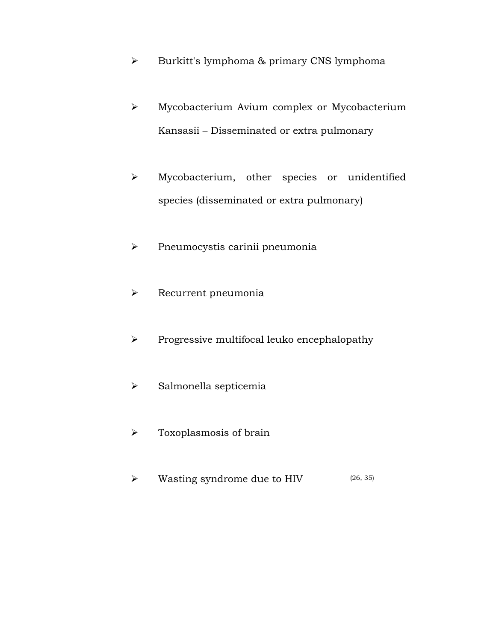- ¾ Burkitt's lymphoma & primary CNS lymphoma
- ¾ Mycobacterium Avium complex or Mycobacterium Kansasii – Disseminated or extra pulmonary
- ¾ Mycobacterium, other species or unidentified species (disseminated or extra pulmonary)
- ¾ Pneumocystis carinii pneumonia
- ¾ Recurrent pneumonia
- ¾ Progressive multifocal leuko encephalopathy
- $\triangleright$  Salmonella septicemia
- $\triangleright$  Toxoplasmosis of brain
- $\triangleright$  Wasting syndrome due to HIV (26, 35)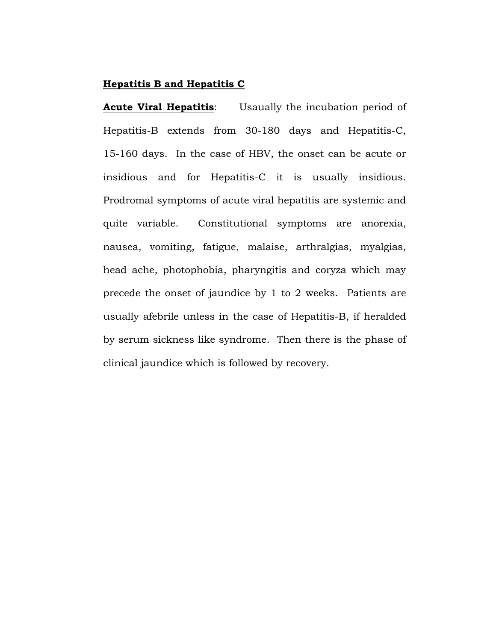#### **Hepatitis B and Hepatitis C**

**Acute Viral Hepatitis**: Usaually the incubation period of Hepatitis-B extends from 30-180 days and Hepatitis-C, 15-160 days. In the case of HBV, the onset can be acute or insidious and for Hepatitis-C it is usually insidious. Prodromal symptoms of acute viral hepatitis are systemic and quite variable. Constitutional symptoms are anorexia, nausea, vomiting, fatigue, malaise, arthralgias, myalgias, head ache, photophobia, pharyngitis and coryza which may precede the onset of jaundice by 1 to 2 weeks. Patients are usually afebrile unless in the case of Hepatitis-B, if heralded by serum sickness like syndrome. Then there is the phase of clinical jaundice which is followed by recovery.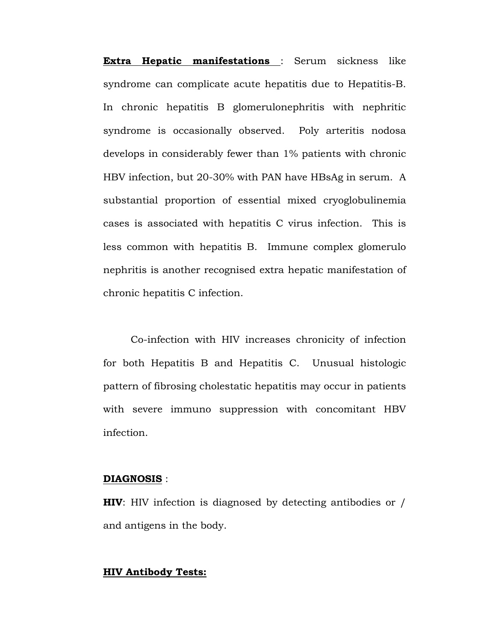**Extra Hepatic manifestations** : Serum sickness like syndrome can complicate acute hepatitis due to Hepatitis-B. In chronic hepatitis B glomerulonephritis with nephritic syndrome is occasionally observed. Poly arteritis nodosa develops in considerably fewer than 1% patients with chronic HBV infection, but 20-30% with PAN have HBsAg in serum. A substantial proportion of essential mixed cryoglobulinemia cases is associated with hepatitis C virus infection. This is less common with hepatitis B. Immune complex glomerulo nephritis is another recognised extra hepatic manifestation of chronic hepatitis C infection.

Co-infection with HIV increases chronicity of infection for both Hepatitis B and Hepatitis C. Unusual histologic pattern of fibrosing cholestatic hepatitis may occur in patients with severe immuno suppression with concomitant HBV infection.

#### **DIAGNOSIS** :

**HIV**: HIV infection is diagnosed by detecting antibodies or / and antigens in the body.

#### **HIV Antibody Tests:**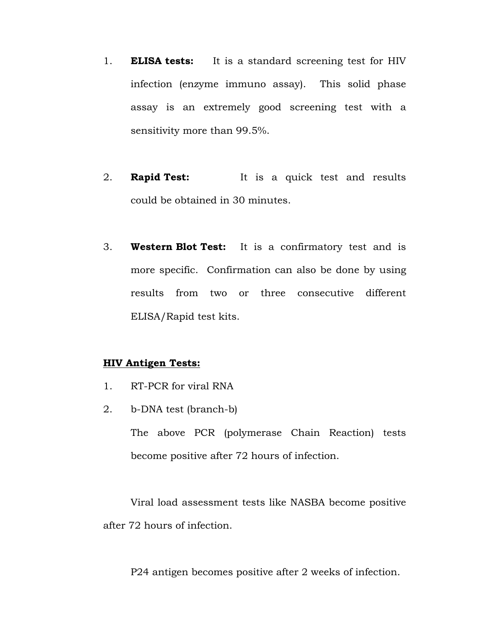- 1. **ELISA tests:** It is a standard screening test for HIV infection (enzyme immuno assay). This solid phase assay is an extremely good screening test with a sensitivity more than 99.5%.
- 2. **Rapid Test:** It is a quick test and results could be obtained in 30 minutes.
- 3. **Western Blot Test:** It is a confirmatory test and is more specific. Confirmation can also be done by using results from two or three consecutive different ELISA/Rapid test kits.

#### **HIV Antigen Tests:**

- 1. RT-PCR for viral RNA
- 2. b-DNA test (branch-b)

 The above PCR (polymerase Chain Reaction) tests become positive after 72 hours of infection.

 Viral load assessment tests like NASBA become positive after 72 hours of infection.

P24 antigen becomes positive after 2 weeks of infection.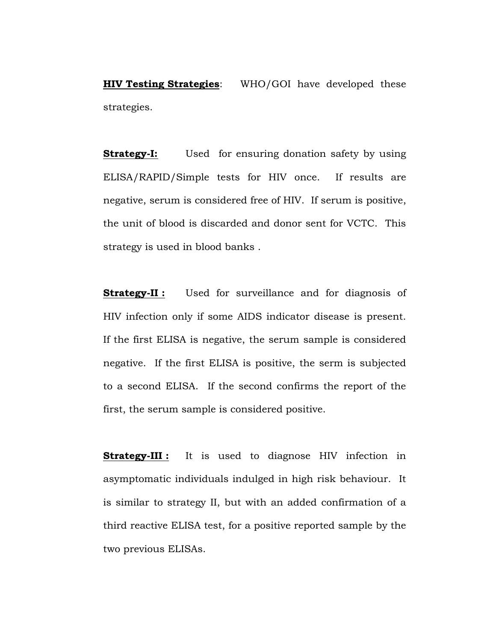**HIV Testing Strategies**: WHO/GOI have developed these strategies.

**Strategy-I:** Used for ensuring donation safety by using ELISA/RAPID/Simple tests for HIV once. If results are negative, serum is considered free of HIV. If serum is positive, the unit of blood is discarded and donor sent for VCTC. This strategy is used in blood banks .

**Strategy-II:** Used for surveillance and for diagnosis of HIV infection only if some AIDS indicator disease is present. If the first ELISA is negative, the serum sample is considered negative. If the first ELISA is positive, the serm is subjected to a second ELISA. If the second confirms the report of the first, the serum sample is considered positive.

**Strategy-III :** It is used to diagnose HIV infection in asymptomatic individuals indulged in high risk behaviour. It is similar to strategy II, but with an added confirmation of a third reactive ELISA test, for a positive reported sample by the two previous ELISAs.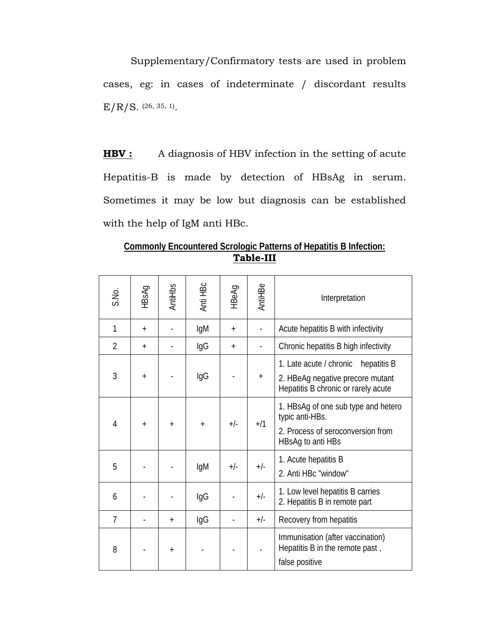Supplementary/Confirmatory tests are used in problem cases, eg: in cases of indeterminate / discordant results  $E/R/S.$  (26, 35, 1).

**HBV :** A diagnosis of HBV infection in the setting of acute Hepatitis-B is made by detection of HBsAg in serum. Sometimes it may be low but diagnosis can be established with the help of IgM anti HBc.

**Commonly Encountered Scrologic Patterns of Hepatitis B Infection: Table-III**

| S.No.          | HBsAg     | AntiHbs    | Anti HBc   | HBeAg | AntiHBe   | Interpretation                                                                                                   |
|----------------|-----------|------------|------------|-------|-----------|------------------------------------------------------------------------------------------------------------------|
| 1              | $+$       |            | lgM        | $+$   |           | Acute hepatitis B with infectivity                                                                               |
| $\overline{2}$ | $+$       |            | lgG        | $+$   |           | Chronic hepatitis B high infectivity                                                                             |
| 3              | $\ddot{}$ |            | IgG        |       | $\ddot{}$ | 1. Late acute / chronic hepatitis B<br>2. HBeAg negative precore mutant<br>Hepatitis B chronic or rarely acute   |
| 4              | $+$       | $\ddot{+}$ | $\ddot{+}$ | $+/-$ | $+ / 1$   | 1. HBsAg of one sub type and hetero<br>typic anti-HBs.<br>2. Process of seroconversion from<br>HBsAg to anti HBs |
| 5              |           |            | IgM        | $+/-$ | $+/-$     | 1. Acute hepatitis B<br>2. Anti HBc "window"                                                                     |
| 6              |           |            | IgG        |       | $+/-$     | 1. Low level hepatitis B carries<br>2. Hepatitis B in remote part                                                |
| $\overline{7}$ |           | $+$        | IgG        |       | $+/-$     | Recovery from hepatitis                                                                                          |
| 8              |           | $+$        |            |       |           | Immunisation (after vaccination)<br>Hepatitis B in the remote past,<br>false positive                            |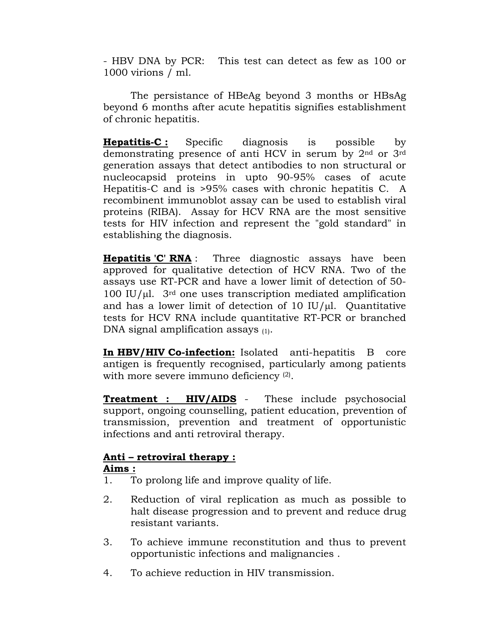- HBV DNA by PCR: This test can detect as few as 100 or 1000 virions / ml.

The persistance of HBeAg beyond 3 months or HBsAg beyond 6 months after acute hepatitis signifies establishment of chronic hepatitis.

**Hepatitis-C :** Specific diagnosis is possible by demonstrating presence of anti HCV in serum by 2nd or 3rd generation assays that detect antibodies to non structural or nucleocapsid proteins in upto 90-95% cases of acute Hepatitis-C and is >95% cases with chronic hepatitis C. A recombinent immunoblot assay can be used to establish viral proteins (RIBA). Assay for HCV RNA are the most sensitive tests for HIV infection and represent the "gold standard" in establishing the diagnosis.

**Hepatitis 'C' RNA** : Three diagnostic assays have been approved for qualitative detection of HCV RNA. Two of the assays use RT-PCR and have a lower limit of detection of 50- 100 IU/ $\mu$ l. 3<sup>rd</sup> one uses transcription mediated amplification and has a lower limit of detection of 10 IU/ $\mu$ l. Quantitative tests for HCV RNA include quantitative RT-PCR or branched DNA signal amplification assays (1).

**In HBV/HIV Co-infection:** Isolated anti-hepatitis B core antigen is frequently recognised, particularly among patients with more severe immuno deficiency <sup>(2)</sup>.

**Treatment : HIV/AIDS** - These include psychosocial support, ongoing counselling, patient education, prevention of transmission, prevention and treatment of opportunistic infections and anti retroviral therapy.

## **Anti – retroviral therapy :**

## **Aims :**

- 1. To prolong life and improve quality of life.
- 2. Reduction of viral replication as much as possible to halt disease progression and to prevent and reduce drug resistant variants.
- 3. To achieve immune reconstitution and thus to prevent opportunistic infections and malignancies .
- 4. To achieve reduction in HIV transmission.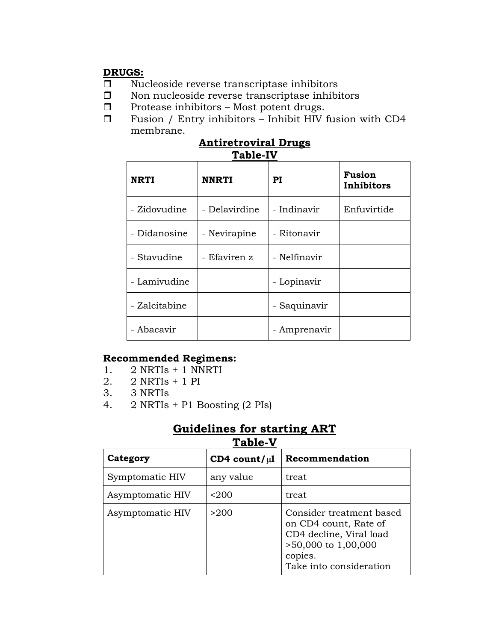# **DRUGS:**

- $\Box$  Nucleoside reverse transcriptase inhibitors
- $\square$  Non nucleoside reverse transcriptase inhibitors
- $\Box$  Protease inhibitors Most potent drugs.
- $\Box$  Fusion / Entry inhibitors Inhibit HIV fusion with CD4 membrane.

| <b>Antiretroviral Drugs</b> |  |
|-----------------------------|--|
| <b>Table-IV</b>             |  |

| <b>NRTI</b>   | <b>NNRTI</b>  | PI           | <b>Fusion</b><br>Inhibitors |
|---------------|---------------|--------------|-----------------------------|
| - Zidovudine  | - Delavirdine | - Indinavir  | Enfuvirtide                 |
| - Didanosine  | - Nevirapine  | - Ritonavir  |                             |
| - Stavudine   | - Efaviren z  | - Nelfinavir |                             |
| - Lamivudine  |               | - Lopinavir  |                             |
| - Zalcitabine |               | - Saquinavir |                             |
| - Abacavir    |               | Amprenavir   |                             |

# **Recommended Regimens:**

- 1. 2 NRTIs + 1 NNRTI
- 2. 2 NRTIs + 1 PI
- 3. 3 NRTIs
- 4. 2 NRTIs + P1 Boosting (2 PIs)

# **Guidelines for starting ART**

| Category         | CD4 count/ $\mu$ l | Recommendation                                                                                                                            |
|------------------|--------------------|-------------------------------------------------------------------------------------------------------------------------------------------|
| Symptomatic HIV  | any value          | treat                                                                                                                                     |
| Asymptomatic HIV | $200$              | treat                                                                                                                                     |
| Asymptomatic HIV | >200               | Consider treatment based<br>on CD4 count, Rate of<br>CD4 decline, Viral load<br>>50,000 to 1,00,000<br>copies.<br>Take into consideration |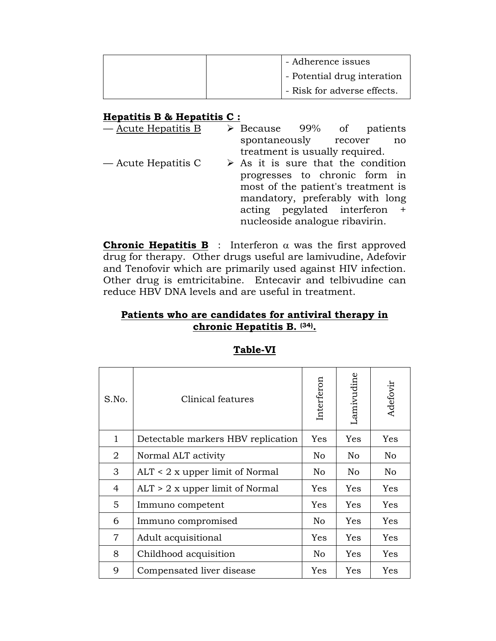| - Adherence issues          |  |
|-----------------------------|--|
| - Potential drug interation |  |
| - Risk for adverse effects. |  |

# **Hepatitis B & Hepatitis C :**

| - Acute Hepatitis B | $\triangleright$ Because 99% of patients          |  |                                    |                                 |                             |  |  |  |
|---------------------|---------------------------------------------------|--|------------------------------------|---------------------------------|-----------------------------|--|--|--|
|                     |                                                   |  |                                    |                                 | spontaneously recover<br>no |  |  |  |
|                     |                                                   |  |                                    | treatment is usually required.  |                             |  |  |  |
| — Acute Hepatitis C | $\triangleright$ As it is sure that the condition |  |                                    |                                 |                             |  |  |  |
|                     | progresses to chronic form in                     |  |                                    |                                 |                             |  |  |  |
|                     |                                                   |  | most of the patient's treatment is |                                 |                             |  |  |  |
|                     |                                                   |  |                                    | mandatory, preferably with long |                             |  |  |  |
|                     | acting pegylated interferon +                     |  |                                    |                                 |                             |  |  |  |
|                     | nucleoside analogue ribavirin.                    |  |                                    |                                 |                             |  |  |  |

**Chronic Hepatitis B** : Interferon  $\alpha$  was the first approved drug for therapy. Other drugs useful are lamivudine, Adefovir and Tenofovir which are primarily used against HIV infection. Other drug is emtricitabine. Entecavir and telbivudine can reduce HBV DNA levels and are useful in treatment.

# **Patients who are candidates for antiviral therapy in chronic Hepatitis B. (34).**

| S.No.          | Clinical features                  | Interferon | Lamivudine | Adefovir |
|----------------|------------------------------------|------------|------------|----------|
| $\mathbf{1}$   | Detectable markers HBV replication | Yes        | <b>Yes</b> | Yes      |
| 2              | Normal ALT activity                | No.        | No.        | No       |
| 3              | ALT < 2 x upper limit of Normal    | No.        | No.        | No       |
| 4              | $ALT > 2$ x upper limit of Normal  | Yes        | <b>Yes</b> | Yes      |
| 5              | Immuno competent                   | <b>Yes</b> | <b>Yes</b> | Yes      |
| 6              | Immuno compromised                 | No         | <b>Yes</b> | Yes      |
| $\overline{7}$ | Adult acquisitional                | Yes        | Yes        | Yes      |
| 8              | Childhood acquisition              | No         | <b>Yes</b> | Yes      |
| 9              | Compensated liver disease          | Yes        | Yes        | Yes      |

## **Table-VI**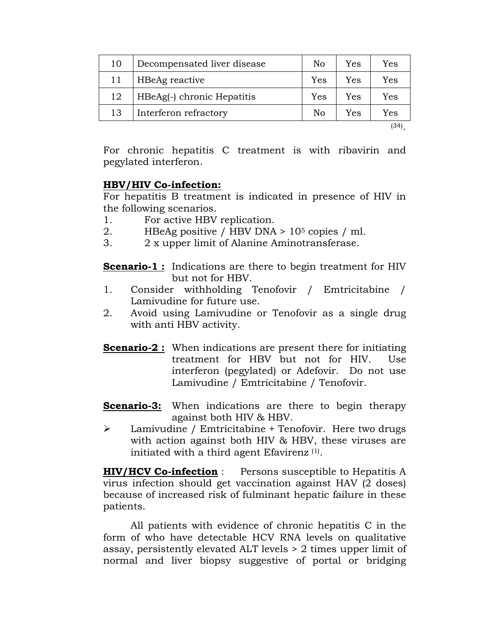| 10 | Decompensated liver disease | No  | Yes | Yes  |
|----|-----------------------------|-----|-----|------|
| 11 | HBeAg reactive              | Yes | Yes | Yes  |
| 12 | HBeAg(-) chronic Hepatitis  | Yes | Yes | Yes  |
| 13 | Interferon refractory       | No  | Yes | Yes  |
|    |                             |     |     | (34) |

For chronic hepatitis C treatment is with ribavirin and pegylated interferon.

### **HBV/HIV Co-infection:**

For hepatitis B treatment is indicated in presence of HIV in the following scenarios.

- 1. For active HBV replication.
- 2. HBeAg positive / HBV DNA > 105 copies / ml.
- 3. 2 x upper limit of Alanine Aminotransferase.

**Scenario-1 :** Indications are there to begin treatment for HIV but not for HBV.

- 1. Consider withholding Tenofovir / Emtricitabine / Lamivudine for future use.
- 2. Avoid using Lamivudine or Tenofovir as a single drug with anti HBV activity.
- **Scenario-2 :** When indications are present there for initiating treatment for HBV but not for HIV. Use interferon (pegylated) or Adefovir. Do not use Lamivudine / Emtricitabine / Tenofovir.
- **Scenario-3:** When indications are there to begin therapy against both HIV & HBV.
- ¾ Lamivudine / Emtricitabine + Tenofovir. Here two drugs with action against both HIV & HBV, these viruses are initiated with a third agent Efavirenz (1).

**HIV/HCV Co-infection** : Persons susceptible to Hepatitis A virus infection should get vaccination against HAV (2 doses) because of increased risk of fulminant hepatic failure in these patients.

 All patients with evidence of chronic hepatitis C in the form of who have detectable HCV RNA levels on qualitative assay, persistently elevated ALT levels > 2 times upper limit of normal and liver biopsy suggestive of portal or bridging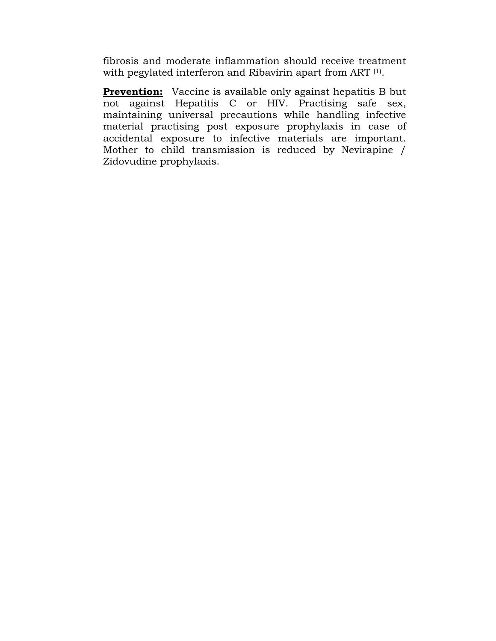fibrosis and moderate inflammation should receive treatment with pegylated interferon and Ribavirin apart from ART (1).

**Prevention:** Vaccine is available only against hepatitis B but not against Hepatitis C or HIV. Practising safe sex, maintaining universal precautions while handling infective material practising post exposure prophylaxis in case of accidental exposure to infective materials are important. Mother to child transmission is reduced by Nevirapine / Zidovudine prophylaxis.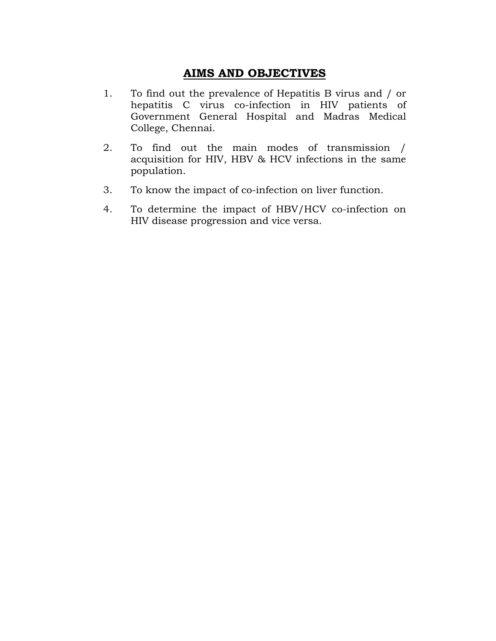## **AIMS AND OBJECTIVES**

- 1. To find out the prevalence of Hepatitis B virus and / or hepatitis C virus co-infection in HIV patients of Government General Hospital and Madras Medical College, Chennai.
- 2. To find out the main modes of transmission / acquisition for HIV, HBV & HCV infections in the same population.
- 3. To know the impact of co-infection on liver function.
- 4. To determine the impact of HBV/HCV co-infection on HIV disease progression and vice versa.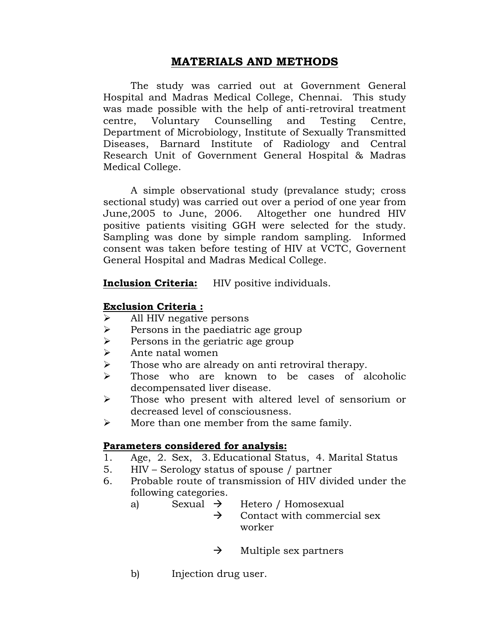# **MATERIALS AND METHODS**

 The study was carried out at Government General Hospital and Madras Medical College, Chennai. This study was made possible with the help of anti-retroviral treatment centre, Voluntary Counselling and Testing Centre, Department of Microbiology, Institute of Sexually Transmitted Diseases, Barnard Institute of Radiology and Central Research Unit of Government General Hospital & Madras Medical College.

 A simple observational study (prevalance study; cross sectional study) was carried out over a period of one year from June,2005 to June, 2006. Altogether one hundred HIV positive patients visiting GGH were selected for the study. Sampling was done by simple random sampling. Informed consent was taken before testing of HIV at VCTC, Governent General Hospital and Madras Medical College.

**Inclusion Criteria:** HIV positive individuals.

## **Exclusion Criteria :**

- ¾ All HIV negative persons
- $\triangleright$  Persons in the paediatric age group
- $\triangleright$  Persons in the geriatric age group
- $\blacktriangleright$  Ante natal women
- $\triangleright$  Those who are already on anti retroviral therapy.
- $\triangleright$  Those who are known to be cases of alcoholic decompensated liver disease.
- ¾ Those who present with altered level of sensorium or decreased level of consciousness.
- $\triangleright$  More than one member from the same family.

### **Parameters considered for analysis:**

- 1. Age, 2. Sex, 3. Educational Status, 4. Marital Status
- 5. HIV Serology status of spouse / partner
- 6. Probable route of transmission of HIV divided under the following categories.
	- a) Sexual  $\rightarrow$  Hetero / Homosexual
		- $\rightarrow$  Contact with commercial sex worker
		- $\rightarrow$  Multiple sex partners
	- b) Injection drug user.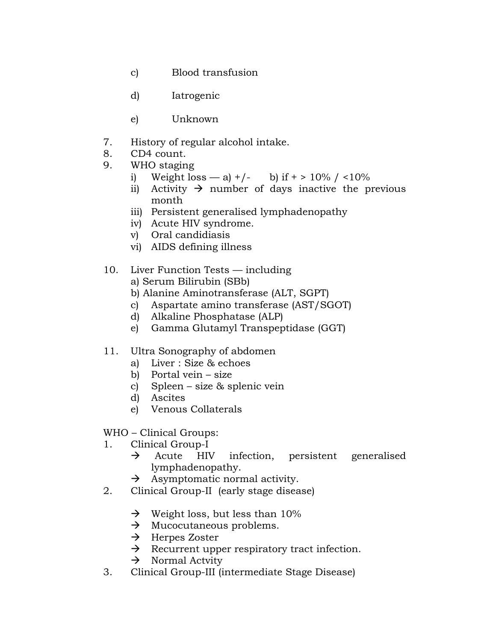- c) Blood transfusion
- d) Iatrogenic
- e) Unknown
- 7. History of regular alcohol intake.
- 8. CD4 count.
- 9. WHO staging
	- i) Weight loss a) +/- b) if + >  $10\%$  / <  $10\%$
	- ii) Activity  $\rightarrow$  number of days inactive the previous month
	- iii) Persistent generalised lymphadenopathy
	- iv) Acute HIV syndrome.
	- v) Oral candidiasis
	- vi) AIDS defining illness

## 10. Liver Function Tests — including

- a) Serum Bilirubin (SBb)
- b) Alanine Aminotransferase (ALT, SGPT)
- c) Aspartate amino transferase (AST/SGOT)
- d) Alkaline Phosphatase (ALP)
- e) Gamma Glutamyl Transpeptidase (GGT)

## 11. Ultra Sonography of abdomen

- a) Liver : Size & echoes
- b) Portal vein size
- c) Spleen size & splenic vein
- d) Ascites
- e) Venous Collaterals

# WHO – Clinical Groups:

- 1. Clinical Group-I
	- $\rightarrow$  Acute HIV infection, persistent generalised lymphadenopathy.
	- $\rightarrow$  Asymptomatic normal activity.
- 2. Clinical Group-II (early stage disease)
	- $\rightarrow$  Weight loss, but less than 10%
	- $\rightarrow$  Mucocutaneous problems.
	- $\rightarrow$  Herpes Zoster
	- $\rightarrow$  Recurrent upper respiratory tract infection.
	- $\rightarrow$  Normal Actvity
- 3. Clinical Group-III (intermediate Stage Disease)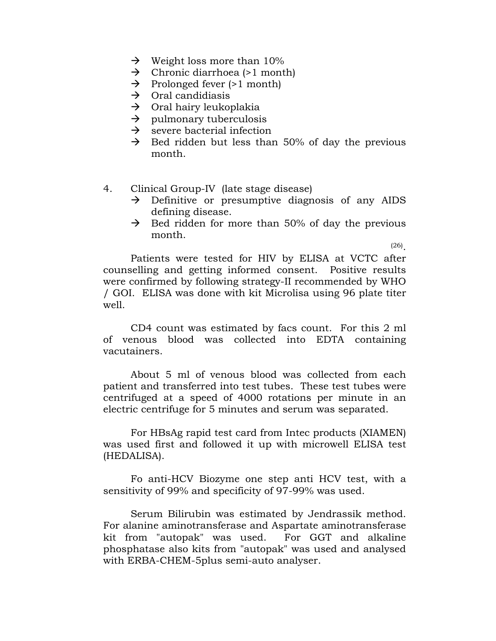- $\rightarrow$  Weight loss more than 10%
- $\rightarrow$  Chronic diarrhoea (>1 month)
- $\rightarrow$  Prolonged fever (>1 month)
- $\rightarrow$  Oral candidiasis
- $\rightarrow$  Oral hairy leukoplakia
- $\rightarrow$  pulmonary tuberculosis
- $\rightarrow$  severe bacterial infection
- $\rightarrow$  Bed ridden but less than 50% of day the previous month.
- 4. Clinical Group-IV (late stage disease)
	- $\rightarrow$  Definitive or presumptive diagnosis of any AIDS defining disease.
	- $\rightarrow$  Bed ridden for more than 50% of day the previous month.

 $(26)$ 

 Patients were tested for HIV by ELISA at VCTC after counselling and getting informed consent. Positive results were confirmed by following strategy-II recommended by WHO / GOI. ELISA was done with kit Microlisa using 96 plate titer well.

 CD4 count was estimated by facs count. For this 2 ml of venous blood was collected into EDTA containing vacutainers.

 About 5 ml of venous blood was collected from each patient and transferred into test tubes. These test tubes were centrifuged at a speed of 4000 rotations per minute in an electric centrifuge for 5 minutes and serum was separated.

 For HBsAg rapid test card from Intec products (XIAMEN) was used first and followed it up with microwell ELISA test (HEDALISA).

 Fo anti-HCV Biozyme one step anti HCV test, with a sensitivity of 99% and specificity of 97-99% was used.

 Serum Bilirubin was estimated by Jendrassik method. For alanine aminotransferase and Aspartate aminotransferase kit from "autopak" was used. For GGT and alkaline phosphatase also kits from "autopak" was used and analysed with ERBA-CHEM-5plus semi-auto analyser.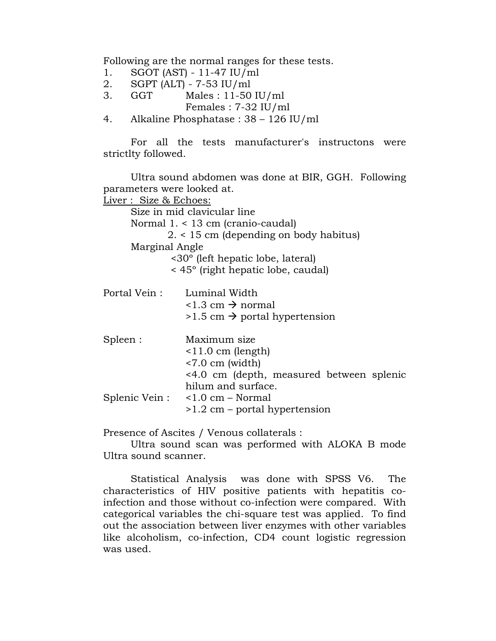Following are the normal ranges for these tests.

- 1. SGOT (AST) 11-47 IU/ml
- 2. SGPT (ALT) 7-53 IU/ml
- 3. GGT Males : 11-50 IU/ml Females : 7-32 IU/ml
- 4. Alkaline Phosphatase : 38 126 IU/ml

 For all the tests manufacturer's instructons were strictlty followed.

 Ultra sound abdomen was done at BIR, GGH. Following parameters were looked at. Liver : Size & Echoes: Size in mid clavicular line Normal 1. < 13 cm (cranio-caudal) 2. < 15 cm (depending on body habitus) Marginal Angle <30º (left hepatic lobe, lateral) < 45º (right hepatic lobe, caudal) Portal Vein : Luminal Width  $\langle 1.3 \text{ cm} \rightarrow \text{normal}$  $>1.5$  cm  $\rightarrow$  portal hypertension Spleen : Maximum size <11.0 cm (length) <7.0 cm (width) <4.0 cm (depth, measured between splenic hilum and surface. Splenic Vein : <1.0 cm – Normal >1.2 cm – portal hypertension

Presence of Ascites / Venous collaterals :

 Ultra sound scan was performed with ALOKA B mode Ultra sound scanner.

 Statistical Analysis was done with SPSS V6. The characteristics of HIV positive patients with hepatitis coinfection and those without co-infection were compared. With categorical variables the chi-square test was applied. To find out the association between liver enzymes with other variables like alcoholism, co-infection, CD4 count logistic regression was used.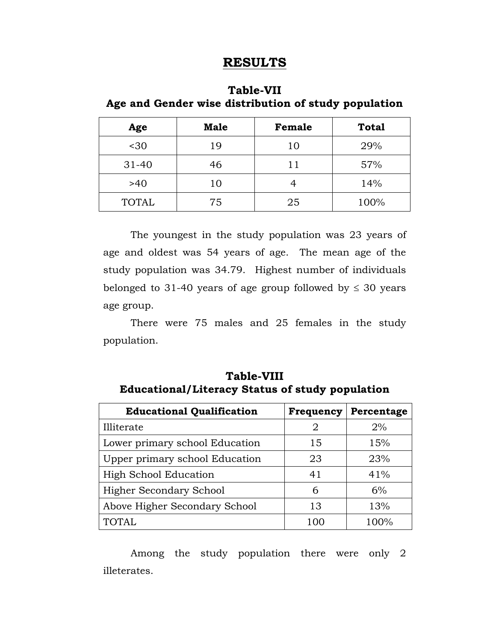# **RESULTS**

## **Table-VII Age and Gender wise distribution of study population**

| Age                | <b>Male</b><br>Female |    | <b>Total</b> |
|--------------------|-----------------------|----|--------------|
| $30$               | 19                    | 10 | 29%          |
| $31 - 40$          | 46                    |    | 57%          |
| >40<br>10          |                       |    | 14%          |
| 75<br><b>TOTAL</b> |                       | 25 | 100%         |

 The youngest in the study population was 23 years of age and oldest was 54 years of age. The mean age of the study population was 34.79. Highest number of individuals belonged to 31-40 years of age group followed by  $\leq 30$  years age group.

 There were 75 males and 25 females in the study population.

# **Table-VIII Educational/Literacy Status of study population**

| <b>Educational Qualification</b> | Frequency | Percentage |
|----------------------------------|-----------|------------|
| Illiterate                       | 2         | $2\%$      |
| Lower primary school Education   | 15        | 15%        |
| Upper primary school Education   | 23        | 23%        |
| <b>High School Education</b>     | 41        | 41%        |
| Higher Secondary School          | 6         | 6%         |
| Above Higher Secondary School    | 13        | 13%        |
| <b>TOTAL</b>                     | 100       | 100%       |

 Among the study population there were only 2 illeterates.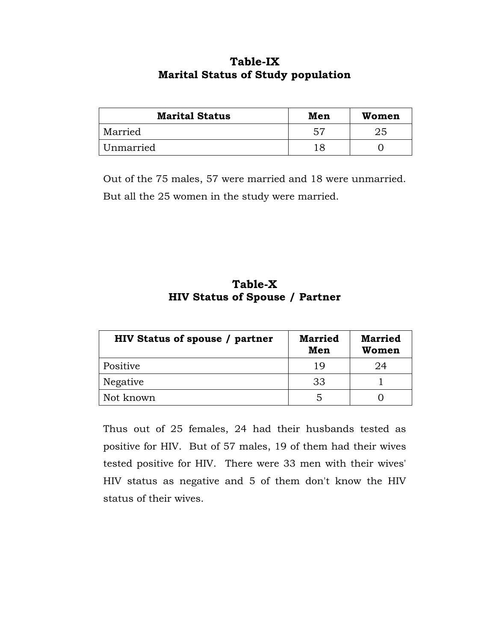# **Table-IX Marital Status of Study population**

| <b>Marital Status</b> | Men | Women |
|-----------------------|-----|-------|
| Married               | -57 | 25    |
| Unmarried             | 18  |       |

Out of the 75 males, 57 were married and 18 were unmarried. But all the 25 women in the study were married.

# **Table-X HIV Status of Spouse / Partner**

| <b>HIV Status of spouse / partner</b> | <b>Married</b><br>Men | <b>Married</b><br>Women |
|---------------------------------------|-----------------------|-------------------------|
| Positive                              | 19                    | 24                      |
| Negative                              | 33                    |                         |
| Not known                             | 5                     |                         |

Thus out of 25 females, 24 had their husbands tested as positive for HIV. But of 57 males, 19 of them had their wives tested positive for HIV. There were 33 men with their wives' HIV status as negative and 5 of them don't know the HIV status of their wives.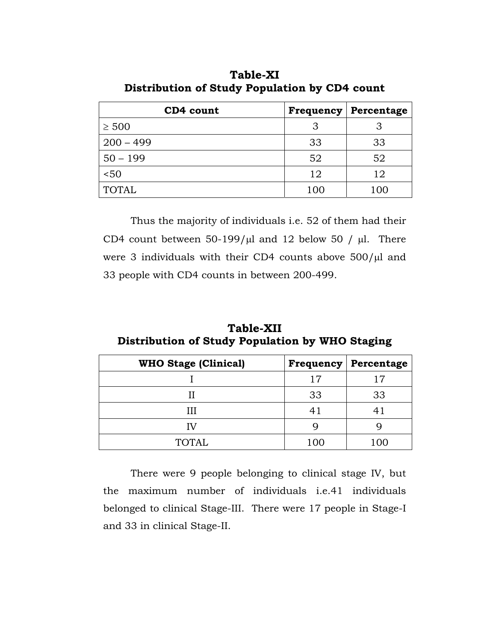| CD4 count    | Frequency | Percentage |
|--------------|-----------|------------|
| $\geq 500$   | З         | З          |
| $200 - 499$  | 33        | 33         |
| $50 - 199$   | 52        | 52         |
| 50<          | 12        | 12         |
| <b>TOTAL</b> | 100       | 100        |

**Table-XI Distribution of Study Population by CD4 count** 

 Thus the majority of individuals i.e. 52 of them had their CD4 count between  $50-199/\mu l$  and 12 below 50 /  $\mu l$ . There were 3 individuals with their CD4 counts above  $500/\mu l$  and 33 people with CD4 counts in between 200-499.

| <b>Table-XII</b>                                |  |  |  |  |  |
|-------------------------------------------------|--|--|--|--|--|
| Distribution of Study Population by WHO Staging |  |  |  |  |  |

| <b>WHO Stage (Clinical)</b> |     | <b>Frequency   Percentage</b> |
|-----------------------------|-----|-------------------------------|
|                             | 17  |                               |
|                             | 33  | 33                            |
|                             | 41  |                               |
| IV                          |     |                               |
| <b>TOTAL</b>                | 100 |                               |

 There were 9 people belonging to clinical stage IV, but the maximum number of individuals i.e.41 individuals belonged to clinical Stage-III. There were 17 people in Stage-I and 33 in clinical Stage-II.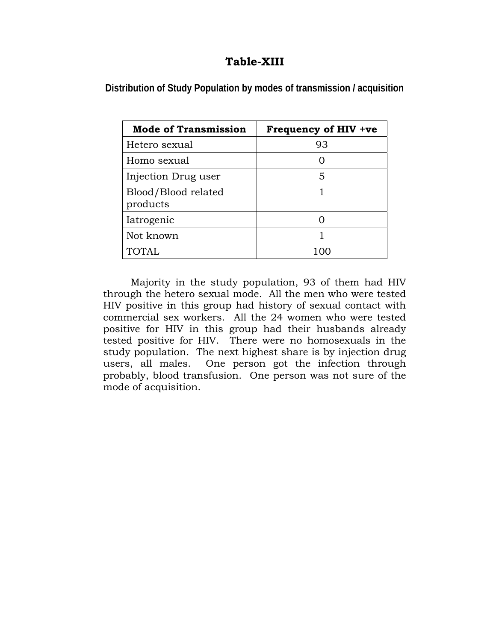# **Table-XIII**

**Distribution of Study Population by modes of transmission / acquisition** 

| <b>Mode of Transmission</b>     | Frequency of HIV +ve |
|---------------------------------|----------------------|
| Hetero sexual                   | 93                   |
| Homo sexual                     |                      |
| Injection Drug user             | 5                    |
| Blood/Blood related<br>products |                      |
| Iatrogenic                      |                      |
| Not known                       |                      |
| <b>TOTAL</b>                    |                      |

 Majority in the study population, 93 of them had HIV through the hetero sexual mode. All the men who were tested HIV positive in this group had history of sexual contact with commercial sex workers. All the 24 women who were tested positive for HIV in this group had their husbands already tested positive for HIV. There were no homosexuals in the study population. The next highest share is by injection drug users, all males. One person got the infection through probably, blood transfusion. One person was not sure of the mode of acquisition.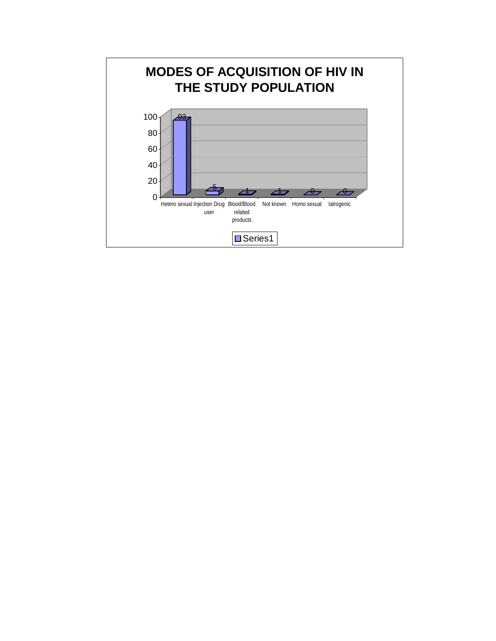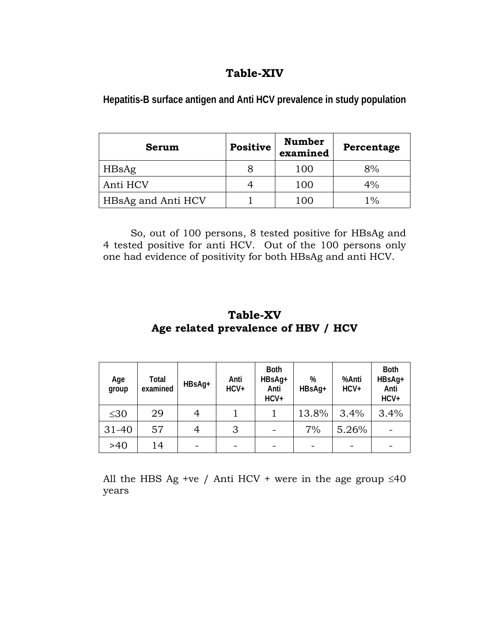# **Table-XIV**

| Serum              | <b>Positive</b> | <b>Number</b><br>examined | Percentage |
|--------------------|-----------------|---------------------------|------------|
| HBsAg              | 8               | 100                       | 8%         |
| Anti HCV           |                 | 100                       | $4\%$      |
| HBsAg and Anti HCV |                 | 100                       | 1%         |

**Hepatitis-B surface antigen and Anti HCV prevalence in study population** 

So, out of 100 persons, 8 tested positive for HBsAg and 4 tested positive for anti HCV. Out of the 100 persons only one had evidence of positivity for both HBsAg and anti HCV.

# **Table-XV Age related prevalence of HBV / HCV**

| Age<br>group | Total<br>examined | HBsAg+ | Anti<br>HCV+ | <b>Both</b><br>HBsAg+<br>Anti<br>$HCV+$ | %<br>HBsAg+ | %Anti<br>$HCV+$ | <b>Both</b><br>HBsAg+<br>Anti<br>$HCV+$ |
|--------------|-------------------|--------|--------------|-----------------------------------------|-------------|-----------------|-----------------------------------------|
| $\leq 30$    | 29                |        |              |                                         | 13.8%       | 3.4%            | 3.4%                                    |
| $31 - 40$    | 57                |        | 3            |                                         | 7%          | 5.26%           |                                         |
| >40          | 14                |        |              |                                         |             |                 |                                         |

All the HBS Ag +ve / Anti HCV + were in the age group  $\leq 40$ years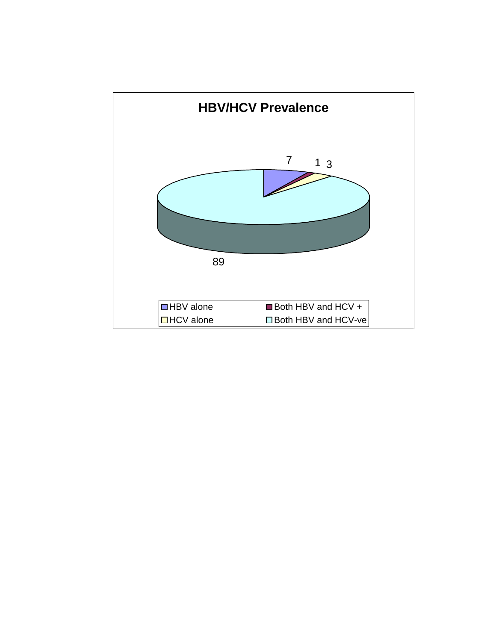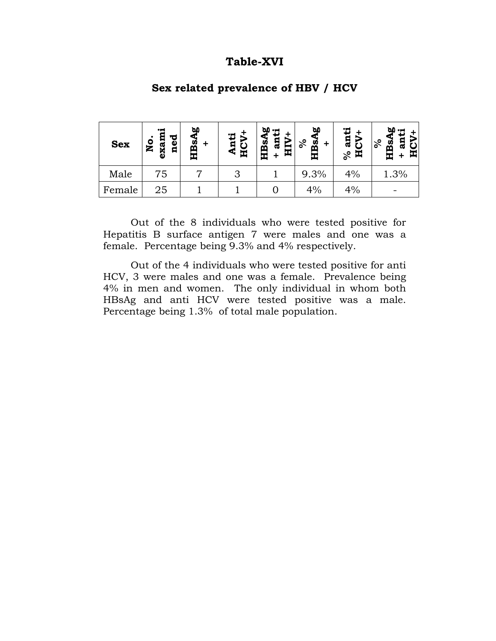### **Table-XVI**

| <b>Sex</b> | ٠Ħ<br>ned<br>Я<br>٥<br>exa<br>Z | ۵۵<br>HBsA | nti<br>⋖<br>闰 | 60<br>Ξ<br>E<br>.<br>B§<br>旵<br>œ | 60<br>HBs<br>వి | Ξ<br>ន<br>ಸಿ<br>呂 | ъ٥<br>17<br>Б<br>$\delta$<br><u>ន័</u><br>ᄑ<br>œ |
|------------|---------------------------------|------------|---------------|-----------------------------------|-----------------|-------------------|--------------------------------------------------|
| Male       | 75                              |            | 3             |                                   | 9.3%            | 4%                | 1.3%                                             |
| Female     | 25                              |            |               |                                   | 4%              | 4%                |                                                  |

#### **Sex related prevalence of HBV / HCV**

 Out of the 8 individuals who were tested positive for Hepatitis B surface antigen 7 were males and one was a female. Percentage being 9.3% and 4% respectively.

 Out of the 4 individuals who were tested positive for anti HCV, 3 were males and one was a female. Prevalence being 4% in men and women. The only individual in whom both HBsAg and anti HCV were tested positive was a male. Percentage being 1.3% of total male population.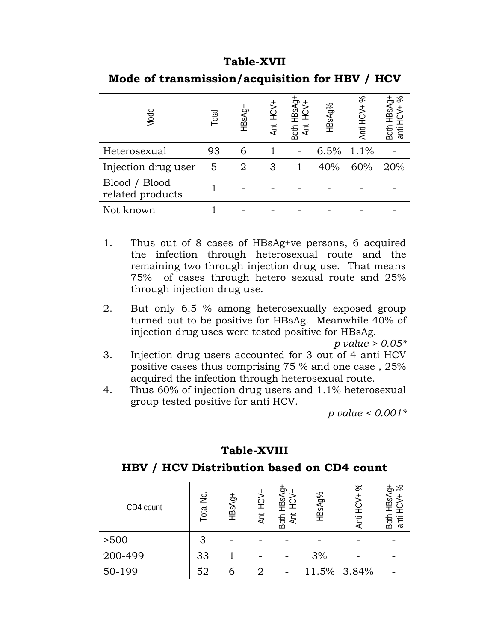## **Table-XVII**

| Mode                              | Total | HBsAg+         | Anti HCV+ | Both HBsAg+<br>Anti HCV+ | HBsAg% | %<br>Anti HCV+ | Both HBsAg+<br>anti HCV+ % |
|-----------------------------------|-------|----------------|-----------|--------------------------|--------|----------------|----------------------------|
| Heterosexual                      | 93    | 6              |           |                          | 6.5%   | 1.1%           |                            |
| Injection drug user               | 5     | $\overline{2}$ | 3         |                          | 40%    | 60%            | 20%                        |
| Blood / Blood<br>related products |       |                |           |                          |        |                |                            |
| Not known                         |       |                |           |                          |        |                |                            |

# **Mode of transmission/acquisition for HBV / HCV**

- 1. Thus out of 8 cases of HBsAg+ve persons, 6 acquired the infection through heterosexual route and the remaining two through injection drug use. That means 75% of cases through hetero sexual route and 25% through injection drug use.
- 2. But only 6.5 % among heterosexually exposed group turned out to be positive for HBsAg. Meanwhile 40% of injection drug uses were tested positive for HBsAg.

*p value > 0.05\** 

- 3. Injection drug users accounted for 3 out of 4 anti HCV positive cases thus comprising 75 % and one case , 25% acquired the infection through heterosexual route.
- 4. Thus 60% of injection drug users and 1.1% heterosexual group tested positive for anti HCV.

*p value < 0.001\** 

# **Table-XVIII**

### **HBV / HCV Distribution based on CD4 count**

| CD4 count | $\frac{1}{2}$<br>otal | HBsAg+ | Anti HCV+ | HBsAg+<br>$+$<br>ن<br>£<br>Anti<br>Both | HBsAg% | $8^{\circ}$<br>Anti HCV+ | HBSAg+<br>+CV+ %<br>Both<br>anti H |
|-----------|-----------------------|--------|-----------|-----------------------------------------|--------|--------------------------|------------------------------------|
| >500      | 3                     |        |           |                                         |        |                          |                                    |
| 200-499   | 33                    |        |           |                                         | 3%     |                          |                                    |
| 50-199    | 52                    | 6      |           |                                         | 11.5%  | 3.84%                    |                                    |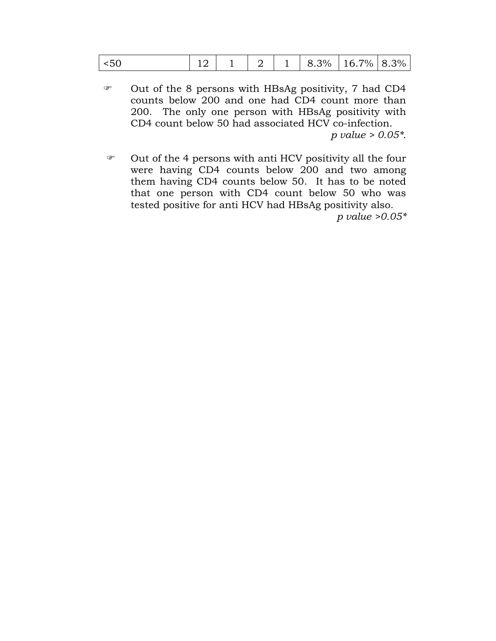- ) Out of the 8 persons with HBsAg positivity, 7 had CD4 counts below 200 and one had CD4 count more than 200. The only one person with HBsAg positivity with CD4 count below 50 had associated HCV co-infection. *p value > 0.05\*.*
- ) Out of the 4 persons with anti HCV positivity all the four were having CD4 counts below 200 and two among them having CD4 counts below 50. It has to be noted that one person with CD4 count below 50 who was tested positive for anti HCV had HBsAg positivity also.

*p value >0.05\**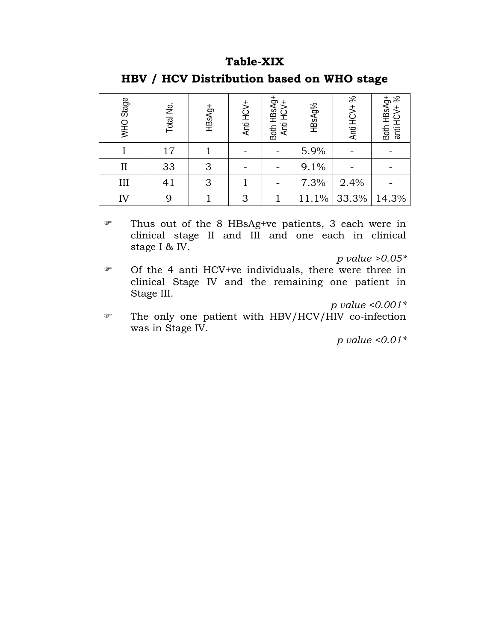### **Table-XIX**

| WHO Stage    | Total No.       | HBsAg+ | Anti HCV+ | Both HBsAg+<br>Anti HCV+ | HBsAg% | $\%$<br>Anti HCV+ | Both HBsAg+<br>anti HCV+ % |
|--------------|-----------------|--------|-----------|--------------------------|--------|-------------------|----------------------------|
|              | 17 <sup>2</sup> |        |           |                          | 5.9%   |                   |                            |
| $\mathbf{I}$ | 33              | 3      |           |                          | 9.1%   |                   |                            |
| III          | 41              | 3      |           |                          | 7.3%   | 2.4%              |                            |
| IV           |                 |        | 3         |                          | 11.1%  | 33.3%             | 14.3%                      |

# **HBV / HCV Distribution based on WHO stage**

) Thus out of the 8 HBsAg+ve patients, 3 each were in clinical stage II and III and one each in clinical stage I & IV.

*p value >0.05\** 

) Of the 4 anti HCV+ve individuals, there were three in clinical Stage IV and the remaining one patient in Stage III.

*p value <0.001\** 

) The only one patient with HBV/HCV/HIV co-infection was in Stage IV.

*p value <0.01\**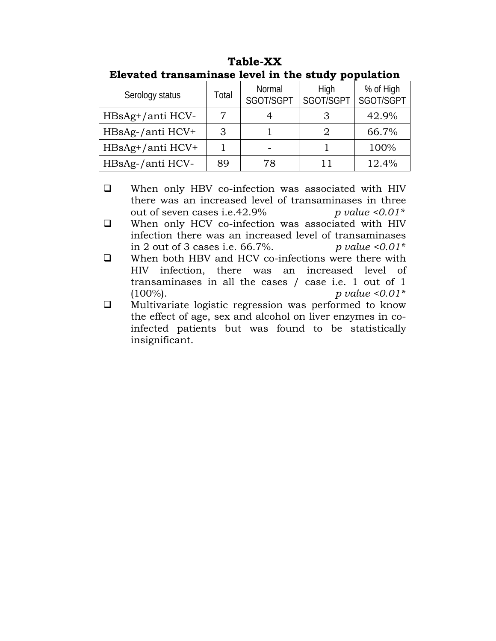| Serology status  | Total | Normal<br>SGOT/SGPT | High<br>SGOT/SGPT | % of High<br>SGOT/SGPT |
|------------------|-------|---------------------|-------------------|------------------------|
| HBsAg+/anti HCV- | 7     |                     |                   | 42.9%                  |
| HBsAg-/anti HCV+ | 3     |                     |                   | 66.7%                  |
| HBsAg+/anti HCV+ |       |                     |                   | 100%                   |
| HBsAg-/anti HCV- | 89    | 78                  | 11                | 12.4%                  |

**Table-XX Elevated transaminase level in the study population** 

- When only HBV co-infection was associated with HIV there was an increased level of transaminases in three out of seven cases i.e.42.9% *p value <0.01\**
- When only HCV co-infection was associated with HIV infection there was an increased level of transaminases in 2 out of 3 cases i.e. 66.7%. *p value <0.01\**
- □ When both HBV and HCV co-infections were there with HIV infection, there was an increased level of transaminases in all the cases / case i.e. 1 out of 1 (100%). *p value <0.01\**
- $\Box$  Multivariate logistic regression was performed to know the effect of age, sex and alcohol on liver enzymes in coinfected patients but was found to be statistically insignificant.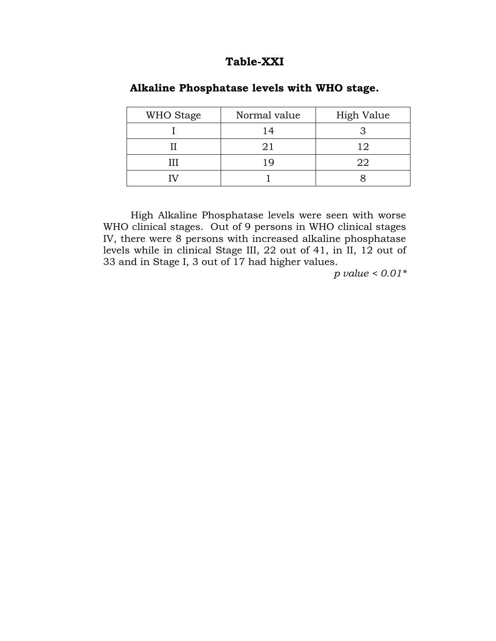### **Table-XXI**

| WHO Stage | Normal value | High Value |
|-----------|--------------|------------|
|           |              |            |
|           | 21           | 19         |
| ш         |              | 22         |
|           |              |            |

#### **Alkaline Phosphatase levels with WHO stage.**

 High Alkaline Phosphatase levels were seen with worse WHO clinical stages. Out of 9 persons in WHO clinical stages IV, there were 8 persons with increased alkaline phosphatase levels while in clinical Stage III, 22 out of 41, in II, 12 out of 33 and in Stage I, 3 out of 17 had higher values.

*p value < 0.01\**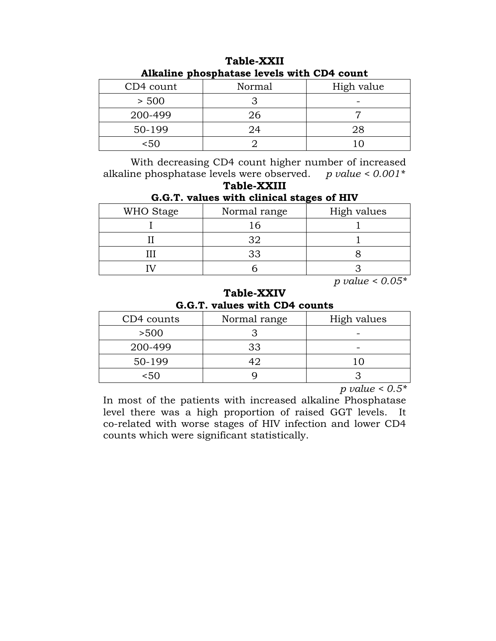| AIKAINIC phosphatase levels with CD4 count |        |            |  |  |  |
|--------------------------------------------|--------|------------|--|--|--|
| CD4 count                                  | Normal | High value |  |  |  |
| > 500                                      |        |            |  |  |  |
| 200-499                                    | 26     |            |  |  |  |
| 50-199                                     | 24     | 28         |  |  |  |
| <50                                        |        |            |  |  |  |

**Table-XXII Alkaline phosphatase levels with CD4 count**

 With decreasing CD4 count higher number of increased alkaline phosphatase levels were observed. *p value < 0.001\**

### **Table-XXIII G.G.T. values with clinical stages of HIV**

| WHO Stage | Normal range | High values |
|-----------|--------------|-------------|
|           |              |             |
|           |              |             |
|           |              |             |
|           |              |             |

*p value < 0.05\**

### **Table-XXIV G.G.T. values with CD4 counts**

| CD4 counts | Normal range | High values |
|------------|--------------|-------------|
| >500       |              |             |
| 200-499    | 33           |             |
| 50-199     |              |             |
| 5۸)        |              |             |

*p value < 0.5\**

In most of the patients with increased alkaline Phosphatase level there was a high proportion of raised GGT levels. It co-related with worse stages of HIV infection and lower CD4 counts which were significant statistically.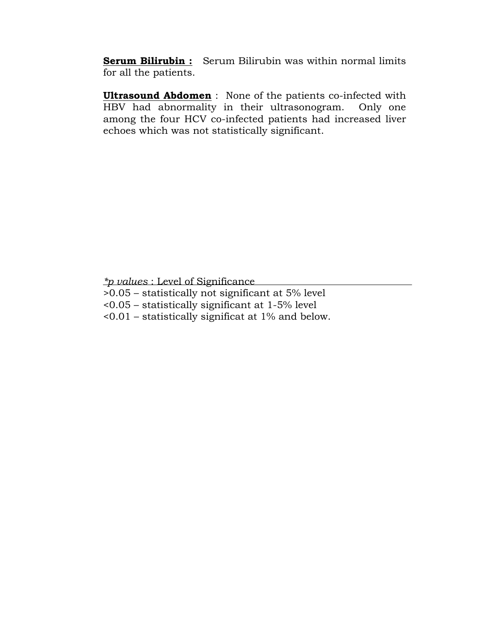**Serum Bilirubin :** Serum Bilirubin was within normal limits for all the patients.

**Ultrasound Abdomen** : None of the patients co-infected with HBV had abnormality in their ultrasonogram. Only one among the four HCV co-infected patients had increased liver echoes which was not statistically significant.

*\*p values* : Level of Significance

- >0.05 statistically not significant at 5% level
- <0.05 statistically significant at 1-5% level
- <0.01 statistically significat at 1% and below.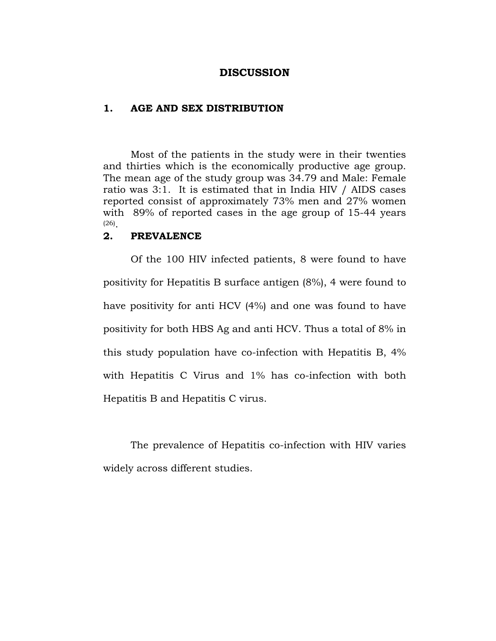#### **DISCUSSION**

#### **1. AGE AND SEX DISTRIBUTION**

 Most of the patients in the study were in their twenties and thirties which is the economically productive age group. The mean age of the study group was 34.79 and Male: Female ratio was 3:1. It is estimated that in India HIV / AIDS cases reported consist of approximately 73% men and 27% women with 89% of reported cases in the age group of 15-44 years (26).

#### **2. PREVALENCE**

Of the 100 HIV infected patients, 8 were found to have positivity for Hepatitis B surface antigen (8%), 4 were found to have positivity for anti HCV (4%) and one was found to have positivity for both HBS Ag and anti HCV. Thus a total of 8% in this study population have co-infection with Hepatitis B, 4% with Hepatitis C Virus and 1% has co-infection with both Hepatitis B and Hepatitis C virus.

The prevalence of Hepatitis co-infection with HIV varies widely across different studies.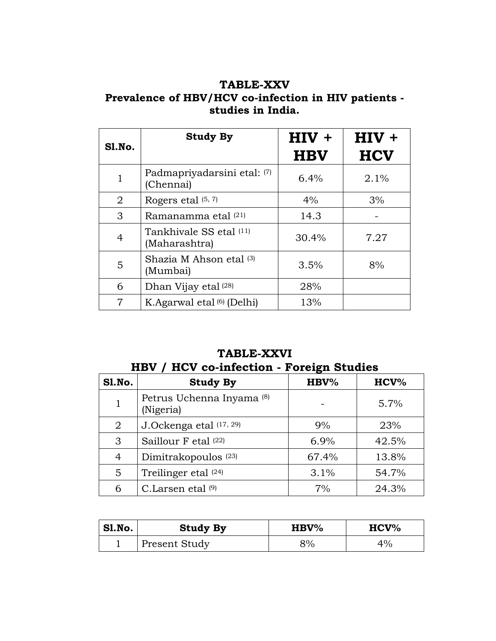# **TABLE-XXV Prevalence of HBV/HCV co-infection in HIV patients studies in India.**

| Sl.No.         | <b>Study By</b>                          | $HIV +$<br><b>HBV</b> | $HIV +$<br><b>HCV</b> |
|----------------|------------------------------------------|-----------------------|-----------------------|
| $\mathbf{1}$   | Padmapriyadarsini etal: (7)<br>(Chennai) | 6.4%                  | 2.1%                  |
| 2              | Rogers etal $(5, 7)$                     | 4%                    | 3%                    |
| 3              | Ramanamma etal (21)                      | 14.3                  |                       |
| $\overline{4}$ | Tankhivale SS etal (11)<br>(Maharashtra) | 30.4%                 | 7.27                  |
| 5              | Shazia M Ahson etal (3)<br>(Mumbai)      | 3.5%                  | 8%                    |
| 6              | Dhan Vijay etal (28)                     | 28%                   |                       |
| $\overline{7}$ | K.Agarwal etal (6) (Delhi)               | 13%                   |                       |

# **TABLE-XXVI HBV / HCV co-infection - Foreign Studies**

| <b>S1.No.</b>  | <b>Study By</b>                                   | -<br>$HBV\%$ | $HCV\%$ |
|----------------|---------------------------------------------------|--------------|---------|
| 1              | Petrus Uchenna Inyama <sup>(8)</sup><br>(Nigeria) |              | 5.7%    |
| $\overline{2}$ | J.Ockenga etal (17, 29)                           | 9%           | 23%     |
| 3              | Saillour F etal (22)                              | 6.9%         | 42.5%   |
| 4              | Dimitrakopoulos <sup>(23)</sup>                   | 67.4%        | 13.8%   |
| 5              | Treilinger etal (24)                              | 3.1%         | 54.7%   |
| 6              | C.Larsen etal (9)                                 | 7%           | 24.3%   |

| Sl.No. | <b>Study By</b> | ${\bf HBV\%}$ | $HCV\%$ |
|--------|-----------------|---------------|---------|
|        | Present Study   | 8%            | 4%      |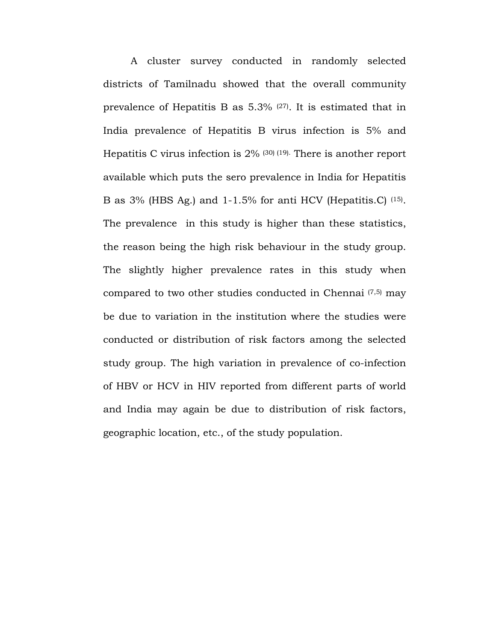A cluster survey conducted in randomly selected districts of Tamilnadu showed that the overall community prevalence of Hepatitis B as 5.3% (27). It is estimated that in India prevalence of Hepatitis B virus infection is 5% and Hepatitis C virus infection is 2% (30) (19). There is another report available which puts the sero prevalence in India for Hepatitis B as 3% (HBS Ag.) and 1-1.5% for anti HCV (Hepatitis.C) (15). The prevalence in this study is higher than these statistics, the reason being the high risk behaviour in the study group. The slightly higher prevalence rates in this study when compared to two other studies conducted in Chennai (7,5) may be due to variation in the institution where the studies were conducted or distribution of risk factors among the selected study group. The high variation in prevalence of co-infection of HBV or HCV in HIV reported from different parts of world and India may again be due to distribution of risk factors, geographic location, etc., of the study population.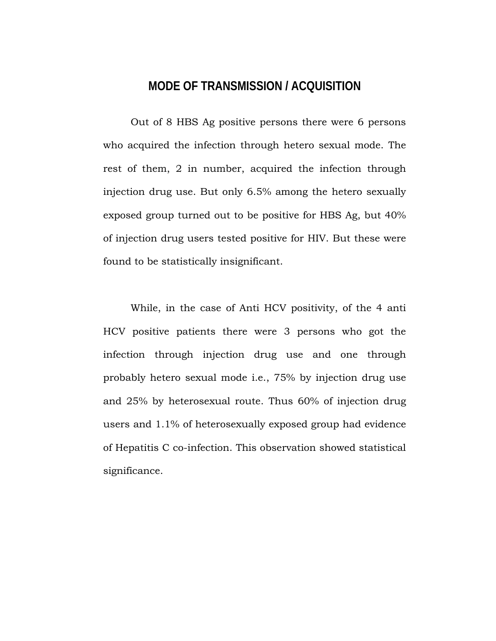# **MODE OF TRANSMISSION / ACQUISITION**

Out of 8 HBS Ag positive persons there were 6 persons who acquired the infection through hetero sexual mode. The rest of them, 2 in number, acquired the infection through injection drug use. But only 6.5% among the hetero sexually exposed group turned out to be positive for HBS Ag, but 40% of injection drug users tested positive for HIV. But these were found to be statistically insignificant.

While, in the case of Anti HCV positivity, of the 4 anti HCV positive patients there were 3 persons who got the infection through injection drug use and one through probably hetero sexual mode i.e., 75% by injection drug use and 25% by heterosexual route. Thus 60% of injection drug users and 1.1% of heterosexually exposed group had evidence of Hepatitis C co-infection. This observation showed statistical significance.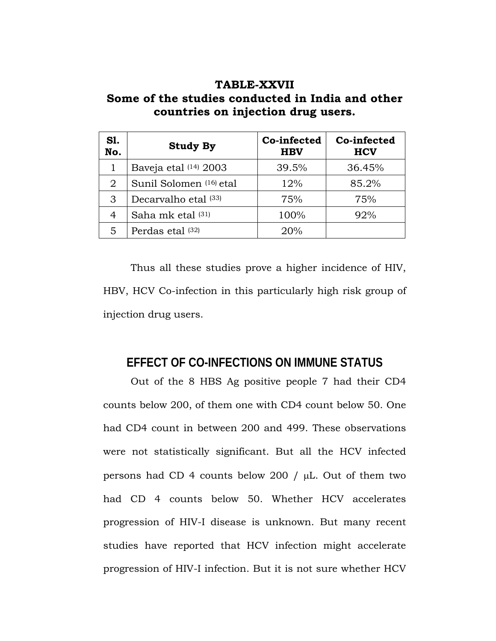# **TABLE-XXVII Some of the studies conducted in India and other countries on injection drug users.**

| S1.<br>No. | <b>Study By</b>         | Co-infected<br><b>HBV</b> | Co-infected<br><b>HCV</b> |
|------------|-------------------------|---------------------------|---------------------------|
|            | Baveja etal (14) 2003   | 39.5%                     | 36.45%                    |
| 2          | Sunil Solomen (16) etal | 12%                       | 85.2%                     |
| 3          | Decarvalho etal (33)    | 75%                       | 75%                       |
| 4          | Saha mk etal (31)       | 100%                      | 92%                       |
| 5          | Perdas etal (32)        | 20%                       |                           |

Thus all these studies prove a higher incidence of HIV, HBV, HCV Co-infection in this particularly high risk group of injection drug users.

# **EFFECT OF CO-INFECTIONS ON IMMUNE STATUS**

Out of the 8 HBS Ag positive people 7 had their CD4 counts below 200, of them one with CD4 count below 50. One had CD4 count in between 200 and 499. These observations were not statistically significant. But all the HCV infected persons had CD 4 counts below 200 / µL. Out of them two had CD 4 counts below 50. Whether HCV accelerates progression of HIV-I disease is unknown. But many recent studies have reported that HCV infection might accelerate progression of HIV-I infection. But it is not sure whether HCV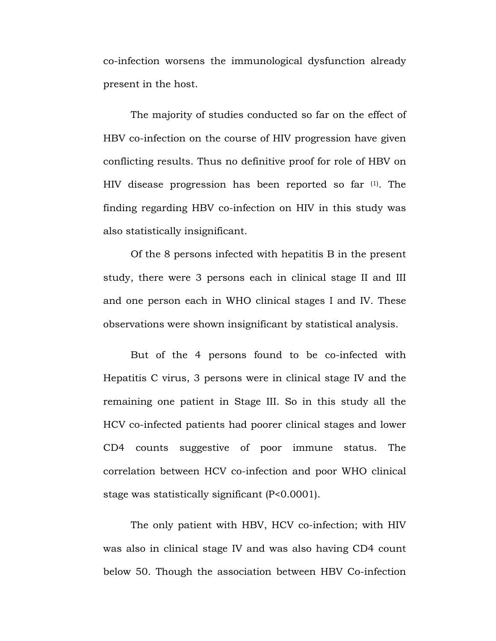co-infection worsens the immunological dysfunction already present in the host.

The majority of studies conducted so far on the effect of HBV co-infection on the course of HIV progression have given conflicting results. Thus no definitive proof for role of HBV on HIV disease progression has been reported so far (1). The finding regarding HBV co-infection on HIV in this study was also statistically insignificant.

Of the 8 persons infected with hepatitis B in the present study, there were 3 persons each in clinical stage II and III and one person each in WHO clinical stages I and IV. These observations were shown insignificant by statistical analysis.

But of the 4 persons found to be co-infected with Hepatitis C virus, 3 persons were in clinical stage IV and the remaining one patient in Stage III. So in this study all the HCV co-infected patients had poorer clinical stages and lower CD4 counts suggestive of poor immune status. The correlation between HCV co-infection and poor WHO clinical stage was statistically significant (P<0.0001).

The only patient with HBV, HCV co-infection; with HIV was also in clinical stage IV and was also having CD4 count below 50. Though the association between HBV Co-infection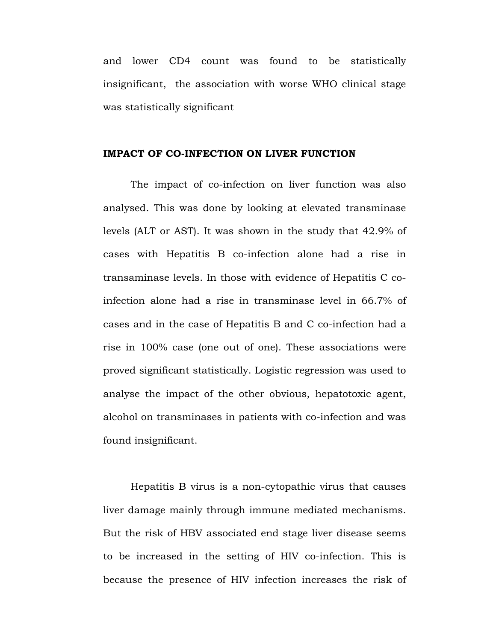and lower CD4 count was found to be statistically insignificant, the association with worse WHO clinical stage was statistically significant

#### **IMPACT OF CO-INFECTION ON LIVER FUNCTION**

The impact of co-infection on liver function was also analysed. This was done by looking at elevated transminase levels (ALT or AST). It was shown in the study that 42.9% of cases with Hepatitis B co-infection alone had a rise in transaminase levels. In those with evidence of Hepatitis C coinfection alone had a rise in transminase level in 66.7% of cases and in the case of Hepatitis B and C co-infection had a rise in 100% case (one out of one). These associations were proved significant statistically. Logistic regression was used to analyse the impact of the other obvious, hepatotoxic agent, alcohol on transminases in patients with co-infection and was found insignificant.

Hepatitis B virus is a non-cytopathic virus that causes liver damage mainly through immune mediated mechanisms. But the risk of HBV associated end stage liver disease seems to be increased in the setting of HIV co-infection. This is because the presence of HIV infection increases the risk of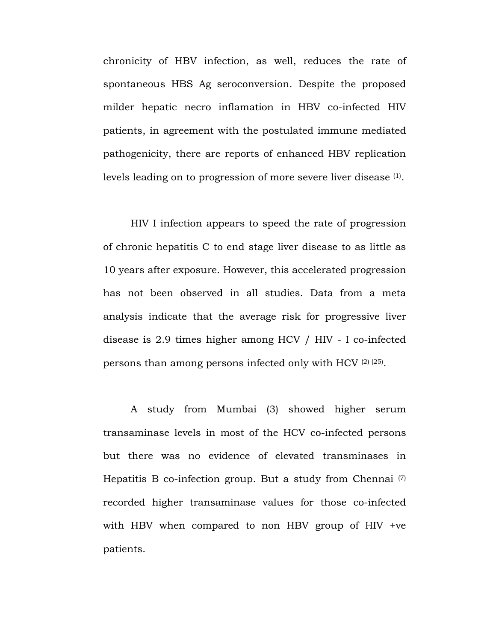chronicity of HBV infection, as well, reduces the rate of spontaneous HBS Ag seroconversion. Despite the proposed milder hepatic necro inflamation in HBV co-infected HIV patients, in agreement with the postulated immune mediated pathogenicity, there are reports of enhanced HBV replication levels leading on to progression of more severe liver disease (1).

HIV I infection appears to speed the rate of progression of chronic hepatitis C to end stage liver disease to as little as 10 years after exposure. However, this accelerated progression has not been observed in all studies. Data from a meta analysis indicate that the average risk for progressive liver disease is 2.9 times higher among HCV / HIV - I co-infected persons than among persons infected only with HCV (2) (25).

A study from Mumbai (3) showed higher serum transaminase levels in most of the HCV co-infected persons but there was no evidence of elevated transminases in Hepatitis B co-infection group. But a study from Chennai (7) recorded higher transaminase values for those co-infected with HBV when compared to non HBV group of HIV +ve patients.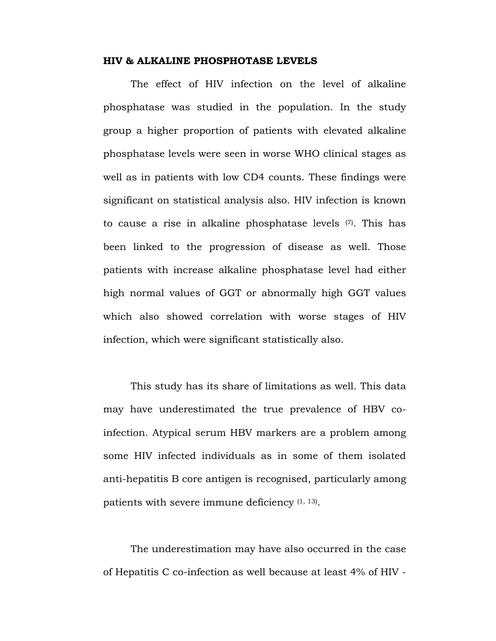#### **HIV & ALKALINE PHOSPHOTASE LEVELS**

The effect of HIV infection on the level of alkaline phosphatase was studied in the population. In the study group a higher proportion of patients with elevated alkaline phosphatase levels were seen in worse WHO clinical stages as well as in patients with low CD4 counts. These findings were significant on statistical analysis also. HIV infection is known to cause a rise in alkaline phosphatase levels (7). This has been linked to the progression of disease as well. Those patients with increase alkaline phosphatase level had either high normal values of GGT or abnormally high GGT values which also showed correlation with worse stages of HIV infection, which were significant statistically also.

This study has its share of limitations as well. This data may have underestimated the true prevalence of HBV coinfection. Atypical serum HBV markers are a problem among some HIV infected individuals as in some of them isolated anti-hepatitis B core antigen is recognised, particularly among patients with severe immune deficiency (1, 13).

The underestimation may have also occurred in the case of Hepatitis C co-infection as well because at least 4% of HIV -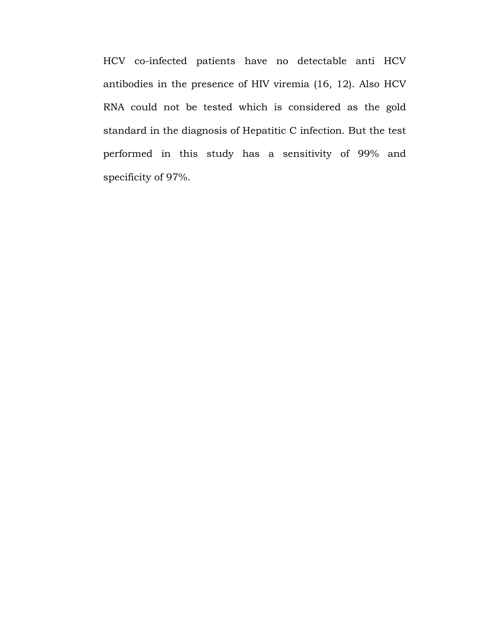HCV co-infected patients have no detectable anti HCV antibodies in the presence of HIV viremia (16, 12). Also HCV RNA could not be tested which is considered as the gold standard in the diagnosis of Hepatitic C infection. But the test performed in this study has a sensitivity of 99% and specificity of 97%.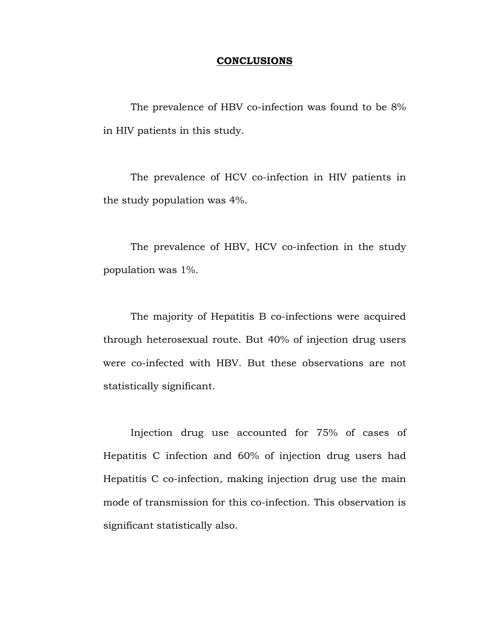#### **CONCLUSIONS**

The prevalence of HBV co-infection was found to be 8% in HIV patients in this study.

The prevalence of HCV co-infection in HIV patients in the study population was 4%.

The prevalence of HBV, HCV co-infection in the study population was 1%.

The majority of Hepatitis B co-infections were acquired through heterosexual route. But 40% of injection drug users were co-infected with HBV. But these observations are not statistically significant.

Injection drug use accounted for 75% of cases of Hepatitis C infection and 60% of injection drug users had Hepatitis C co-infection, making injection drug use the main mode of transmission for this co-infection. This observation is significant statistically also.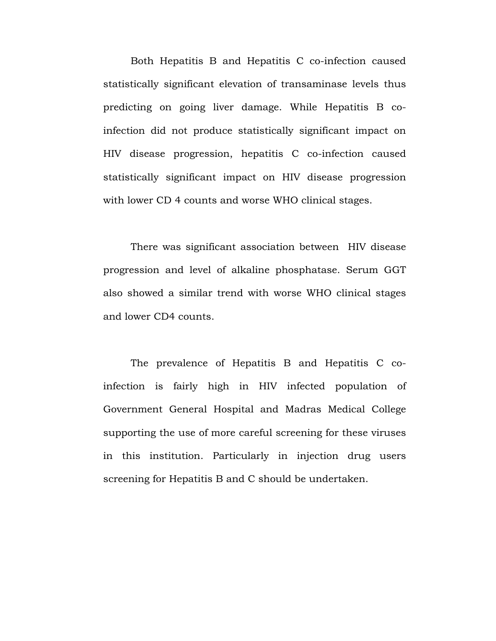Both Hepatitis B and Hepatitis C co-infection caused statistically significant elevation of transaminase levels thus predicting on going liver damage. While Hepatitis B coinfection did not produce statistically significant impact on HIV disease progression, hepatitis C co-infection caused statistically significant impact on HIV disease progression with lower CD 4 counts and worse WHO clinical stages.

There was significant association between HIV disease progression and level of alkaline phosphatase. Serum GGT also showed a similar trend with worse WHO clinical stages and lower CD4 counts.

The prevalence of Hepatitis B and Hepatitis C coinfection is fairly high in HIV infected population of Government General Hospital and Madras Medical College supporting the use of more careful screening for these viruses in this institution. Particularly in injection drug users screening for Hepatitis B and C should be undertaken.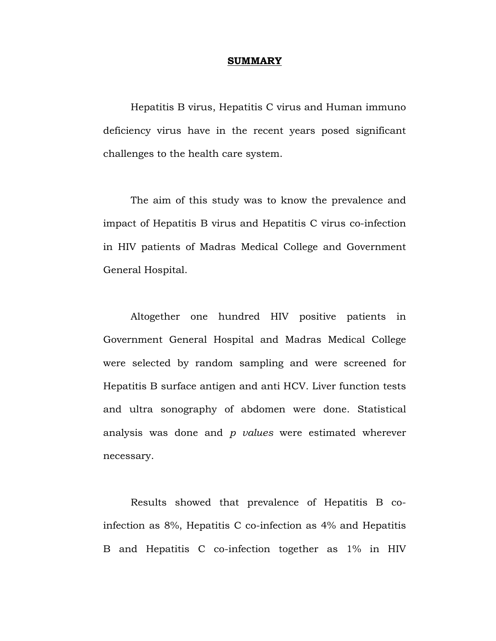#### **SUMMARY**

Hepatitis B virus, Hepatitis C virus and Human immuno deficiency virus have in the recent years posed significant challenges to the health care system.

The aim of this study was to know the prevalence and impact of Hepatitis B virus and Hepatitis C virus co-infection in HIV patients of Madras Medical College and Government General Hospital.

Altogether one hundred HIV positive patients in Government General Hospital and Madras Medical College were selected by random sampling and were screened for Hepatitis B surface antigen and anti HCV. Liver function tests and ultra sonography of abdomen were done. Statistical analysis was done and *p values* were estimated wherever necessary.

Results showed that prevalence of Hepatitis B coinfection as 8%, Hepatitis C co-infection as 4% and Hepatitis B and Hepatitis C co-infection together as 1% in HIV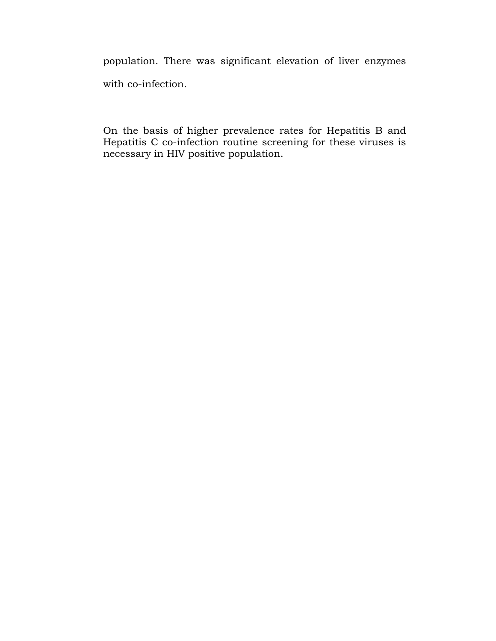population. There was significant elevation of liver enzymes with co-infection.

On the basis of higher prevalence rates for Hepatitis B and Hepatitis C co-infection routine screening for these viruses is necessary in HIV positive population.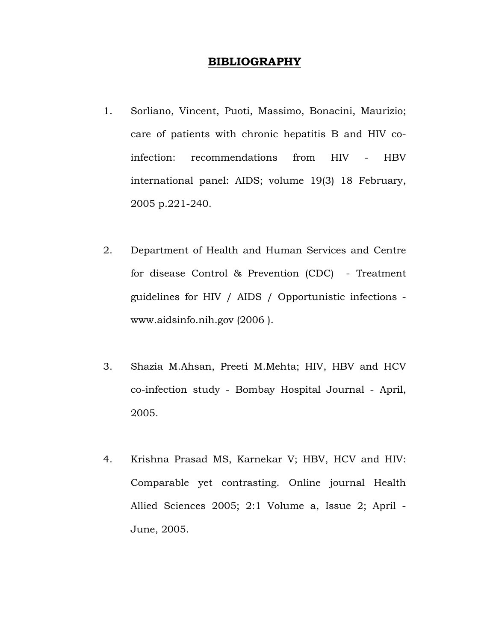## **BIBLIOGRAPHY**

- 1. Sorliano, Vincent, Puoti, Massimo, Bonacini, Maurizio; care of patients with chronic hepatitis B and HIV coinfection: recommendations from HIV - HBV international panel: AIDS; volume 19(3) 18 February, 2005 p.221-240.
- 2. Department of Health and Human Services and Centre for disease Control & Prevention (CDC) - Treatment guidelines for HIV / AIDS / Opportunistic infections www.aidsinfo.nih.gov (2006 ).
- 3. Shazia M.Ahsan, Preeti M.Mehta; HIV, HBV and HCV co-infection study - Bombay Hospital Journal - April, 2005.
- 4. Krishna Prasad MS, Karnekar V; HBV, HCV and HIV: Comparable yet contrasting. Online journal Health Allied Sciences 2005; 2:1 Volume a, Issue 2; April - June, 2005.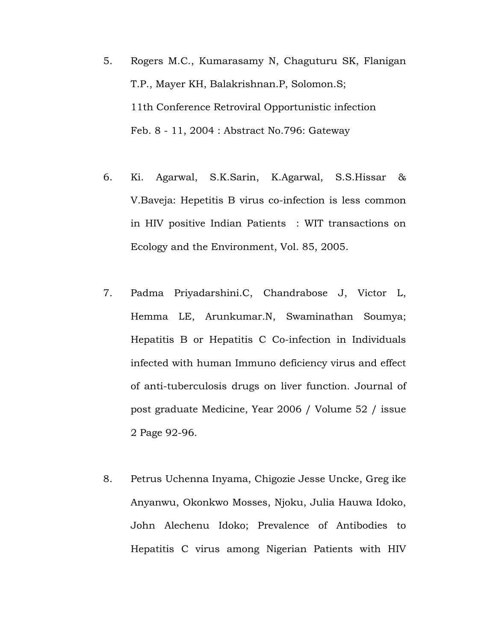- 5. Rogers M.C., Kumarasamy N, Chaguturu SK, Flanigan T.P., Mayer KH, Balakrishnan.P, Solomon.S; 11th Conference Retroviral Opportunistic infection Feb. 8 - 11, 2004 : Abstract No.796: Gateway
- 6. Ki. Agarwal, S.K.Sarin, K.Agarwal, S.S.Hissar & V.Baveja: Hepetitis B virus co-infection is less common in HIV positive Indian Patients : WIT transactions on Ecology and the Environment, Vol. 85, 2005.
- 7. Padma Priyadarshini.C, Chandrabose J, Victor L, Hemma LE, Arunkumar.N, Swaminathan Soumya; Hepatitis B or Hepatitis C Co-infection in Individuals infected with human Immuno deficiency virus and effect of anti-tuberculosis drugs on liver function. Journal of post graduate Medicine, Year 2006 / Volume 52 / issue 2 Page 92-96.
- 8. Petrus Uchenna Inyama, Chigozie Jesse Uncke, Greg ike Anyanwu, Okonkwo Mosses, Njoku, Julia Hauwa Idoko, John Alechenu Idoko; Prevalence of Antibodies to Hepatitis C virus among Nigerian Patients with HIV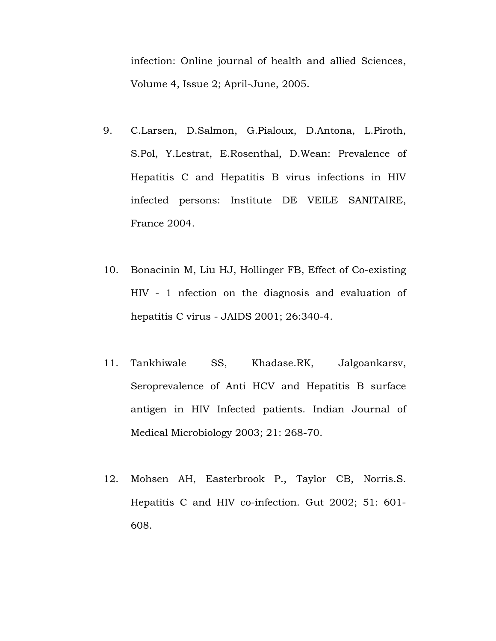infection: Online journal of health and allied Sciences, Volume 4, Issue 2; April-June, 2005.

- 9. C.Larsen, D.Salmon, G.Pialoux, D.Antona, L.Piroth, S.Pol, Y.Lestrat, E.Rosenthal, D.Wean: Prevalence of Hepatitis C and Hepatitis B virus infections in HIV infected persons: Institute DE VEILE SANITAIRE, France 2004.
- 10. Bonacinin M, Liu HJ, Hollinger FB, Effect of Co-existing HIV - 1 nfection on the diagnosis and evaluation of hepatitis C virus - JAIDS 2001; 26:340-4.
- 11. Tankhiwale SS, Khadase.RK, Jalgoankarsv, Seroprevalence of Anti HCV and Hepatitis B surface antigen in HIV Infected patients. Indian Journal of Medical Microbiology 2003; 21: 268-70.
- 12. Mohsen AH, Easterbrook P., Taylor CB, Norris.S. Hepatitis C and HIV co-infection. Gut 2002; 51: 601- 608.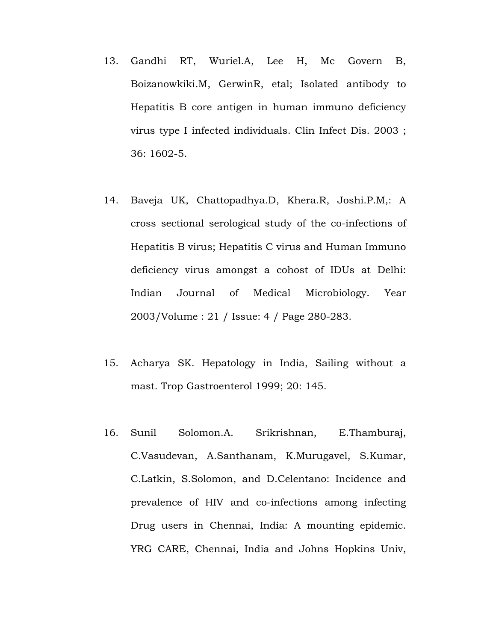- 13. Gandhi RT, Wuriel.A, Lee H, Mc Govern B, Boizanowkiki.M, GerwinR, etal; Isolated antibody to Hepatitis B core antigen in human immuno deficiency virus type I infected individuals. Clin Infect Dis. 2003 ; 36: 1602-5.
- 14. Baveja UK, Chattopadhya.D, Khera.R, Joshi.P.M,: A cross sectional serological study of the co-infections of Hepatitis B virus; Hepatitis C virus and Human Immuno deficiency virus amongst a cohost of IDUs at Delhi: Indian Journal of Medical Microbiology. Year 2003/Volume : 21 / Issue: 4 / Page 280-283.
- 15. Acharya SK. Hepatology in India, Sailing without a mast. Trop Gastroenterol 1999; 20: 145.
- 16. Sunil Solomon.A. Srikrishnan, E.Thamburaj, C.Vasudevan, A.Santhanam, K.Murugavel, S.Kumar, C.Latkin, S.Solomon, and D.Celentano: Incidence and prevalence of HIV and co-infections among infecting Drug users in Chennai, India: A mounting epidemic. YRG CARE, Chennai, India and Johns Hopkins Univ,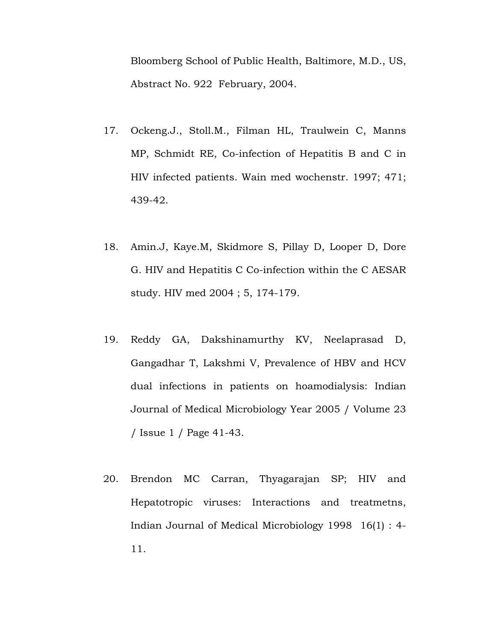Bloomberg School of Public Health, Baltimore, M.D., US, Abstract No. 922 February, 2004.

- 17. Ockeng.J., Stoll.M., Filman HL, Traulwein C, Manns MP, Schmidt RE, Co-infection of Hepatitis B and C in HIV infected patients. Wain med wochenstr. 1997; 471; 439-42.
- 18. Amin.J, Kaye.M, Skidmore S, Pillay D, Looper D, Dore G. HIV and Hepatitis C Co-infection within the C AESAR study. HIV med 2004 ; 5, 174-179.
- 19. Reddy GA, Dakshinamurthy KV, Neelaprasad D, Gangadhar T, Lakshmi V, Prevalence of HBV and HCV dual infections in patients on hoamodialysis: Indian Journal of Medical Microbiology Year 2005 / Volume 23 / Issue 1 / Page 41-43.
- 20. Brendon MC Carran, Thyagarajan SP; HIV and Hepatotropic viruses: Interactions and treatmetns, Indian Journal of Medical Microbiology 1998 16(1) : 4- 11.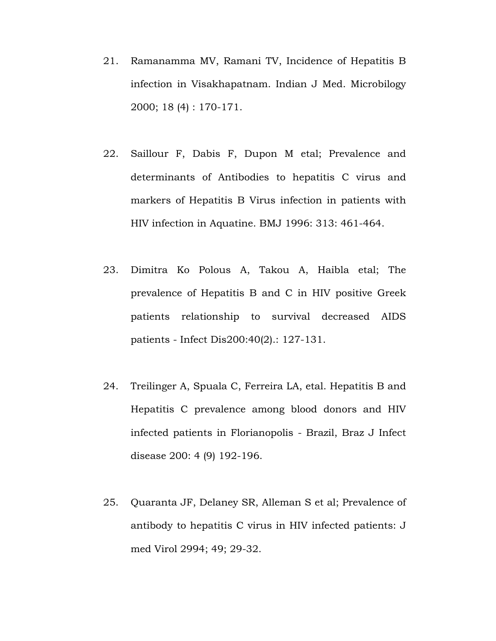- 21. Ramanamma MV, Ramani TV, Incidence of Hepatitis B infection in Visakhapatnam. Indian J Med. Microbilogy 2000; 18 (4) : 170-171.
- 22. Saillour F, Dabis F, Dupon M etal; Prevalence and determinants of Antibodies to hepatitis C virus and markers of Hepatitis B Virus infection in patients with HIV infection in Aquatine. BMJ 1996: 313: 461-464.
- 23. Dimitra Ko Polous A, Takou A, Haibla etal; The prevalence of Hepatitis B and C in HIV positive Greek patients relationship to survival decreased AIDS patients - Infect Dis200:40(2).: 127-131.
- 24. Treilinger A, Spuala C, Ferreira LA, etal. Hepatitis B and Hepatitis C prevalence among blood donors and HIV infected patients in Florianopolis - Brazil, Braz J Infect disease 200: 4 (9) 192-196.
- 25. Quaranta JF, Delaney SR, Alleman S et al; Prevalence of antibody to hepatitis C virus in HIV infected patients: J med Virol 2994; 49; 29-32.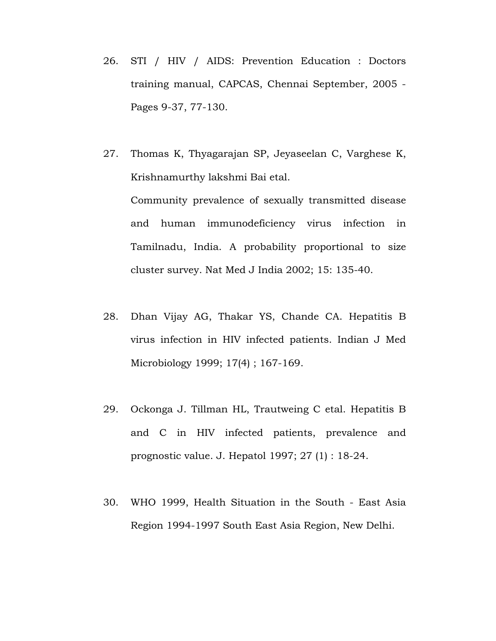- 26. STI / HIV / AIDS: Prevention Education : Doctors training manual, CAPCAS, Chennai September, 2005 - Pages 9-37, 77-130.
- 27. Thomas K, Thyagarajan SP, Jeyaseelan C, Varghese K, Krishnamurthy lakshmi Bai etal. Community prevalence of sexually transmitted disease and human immunodeficiency virus infection in Tamilnadu, India. A probability proportional to size cluster survey. Nat Med J India 2002; 15: 135-40.
- 28. Dhan Vijay AG, Thakar YS, Chande CA. Hepatitis B virus infection in HIV infected patients. Indian J Med Microbiology 1999; 17(4) ; 167-169.
- 29. Ockonga J. Tillman HL, Trautweing C etal. Hepatitis B and C in HIV infected patients, prevalence and prognostic value. J. Hepatol 1997; 27 (1) : 18-24.
- 30. WHO 1999, Health Situation in the South East Asia Region 1994-1997 South East Asia Region, New Delhi.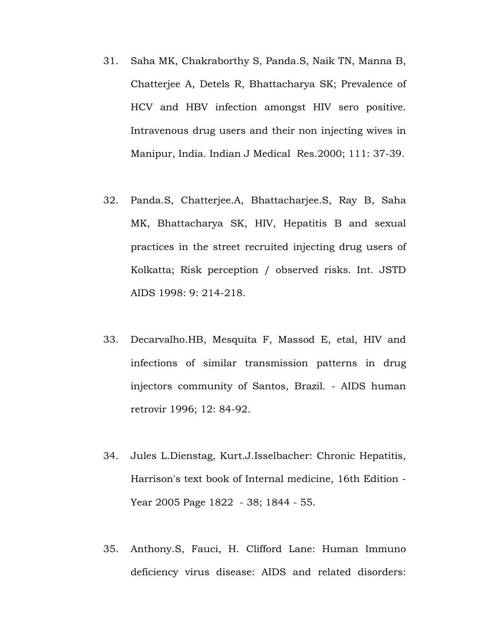- 31. Saha MK, Chakraborthy S, Panda.S, Naik TN, Manna B, Chatterjee A, Detels R, Bhattacharya SK; Prevalence of HCV and HBV infection amongst HIV sero positive. Intravenous drug users and their non injecting wives in Manipur, India. Indian J Medical Res.2000; 111: 37-39.
- 32. Panda.S, Chatterjee.A, Bhattacharjee.S, Ray B, Saha MK, Bhattacharya SK, HIV, Hepatitis B and sexual practices in the street recruited injecting drug users of Kolkatta; Risk perception / observed risks. Int. JSTD AIDS 1998: 9: 214-218.
- 33. Decarvalho.HB, Mesquita F, Massod E, etal, HIV and infections of similar transmission patterns in drug injectors community of Santos, Brazil. - AIDS human retrovir 1996; 12: 84-92.
- 34. Jules L.Dienstag, Kurt.J.Isselbacher: Chronic Hepatitis, Harrison's text book of Internal medicine, 16th Edition - Year 2005 Page 1822 - 38; 1844 - 55.
- 35. Anthony.S, Fauci, H. Clifford Lane: Human Immuno deficiency virus disease: AIDS and related disorders: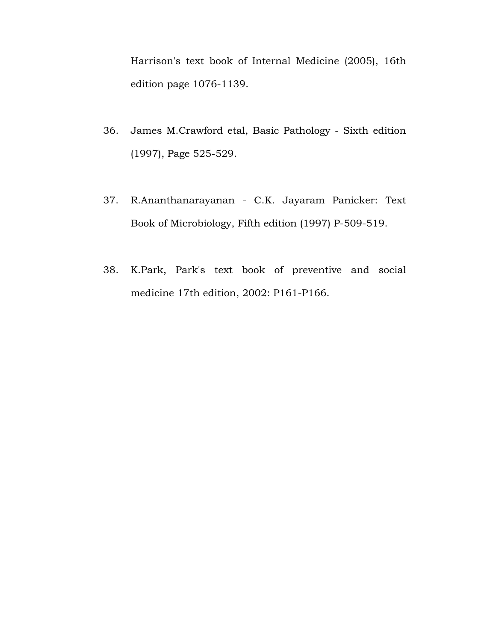Harrison's text book of Internal Medicine (2005), 16th edition page 1076-1139.

- 36. James M.Crawford etal, Basic Pathology Sixth edition (1997), Page 525-529.
- 37. R.Ananthanarayanan C.K. Jayaram Panicker: Text Book of Microbiology, Fifth edition (1997) P-509-519.
- 38. K.Park, Park's text book of preventive and social medicine 17th edition, 2002: P161-P166.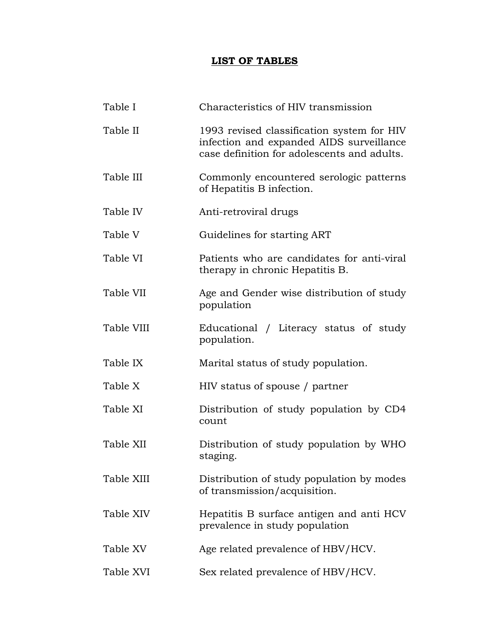## **LIST OF TABLES**

| Table I    | Characteristics of HIV transmission                                                                                                   |
|------------|---------------------------------------------------------------------------------------------------------------------------------------|
| Table II   | 1993 revised classification system for HIV<br>infection and expanded AIDS surveillance<br>case definition for adolescents and adults. |
| Table III  | Commonly encountered serologic patterns<br>of Hepatitis B infection.                                                                  |
| Table IV   | Anti-retroviral drugs                                                                                                                 |
| Table V    | Guidelines for starting ART                                                                                                           |
| Table VI   | Patients who are candidates for anti-viral<br>therapy in chronic Hepatitis B.                                                         |
| Table VII  | Age and Gender wise distribution of study<br>population                                                                               |
| Table VIII | Educational / Literacy status of study<br>population.                                                                                 |
| Table IX   | Marital status of study population.                                                                                                   |
| Table X    | HIV status of spouse / partner                                                                                                        |
| Table XI   | Distribution of study population by CD4<br>count                                                                                      |
| Table XII  | Distribution of study population by WHO<br>staging.                                                                                   |
| Table XIII | Distribution of study population by modes<br>of transmission/acquisition.                                                             |
| Table XIV  | Hepatitis B surface antigen and anti HCV<br>prevalence in study population                                                            |
| Table XV   | Age related prevalence of HBV/HCV.                                                                                                    |
| Table XVI  | Sex related prevalence of HBV/HCV.                                                                                                    |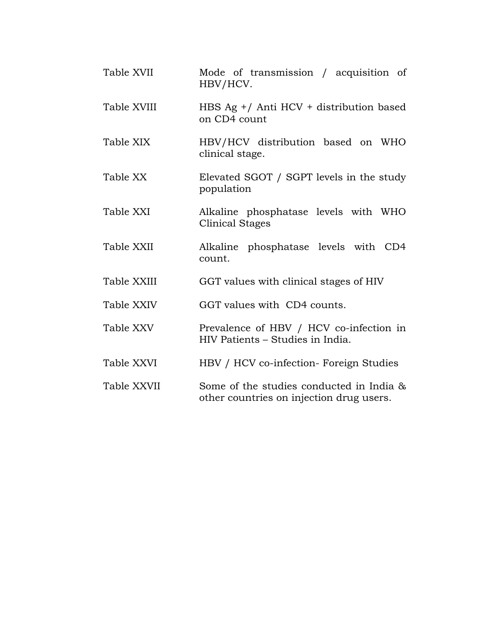| Table XVII  | Mode of transmission / acquisition of<br>HBV/HCV.                                    |
|-------------|--------------------------------------------------------------------------------------|
| Table XVIII | HBS Ag +/ Anti HCV + distribution based<br>on CD4 count                              |
| Table XIX   | HBV/HCV distribution based on WHO<br>clinical stage.                                 |
| Table XX    | Elevated SGOT / SGPT levels in the study<br>population                               |
| Table XXI   | Alkaline phosphatase levels with WHO<br><b>Clinical Stages</b>                       |
| Table XXII  | Alkaline phosphatase levels with CD4<br>count.                                       |
| Table XXIII | GGT values with clinical stages of HIV                                               |
| Table XXIV  | GGT values with CD4 counts.                                                          |
| Table XXV   | Prevalence of HBV / HCV co-infection in<br>HIV Patients – Studies in India.          |
| Table XXVI  | HBV / HCV co-infection- Foreign Studies                                              |
| Table XXVII | Some of the studies conducted in India &<br>other countries on injection drug users. |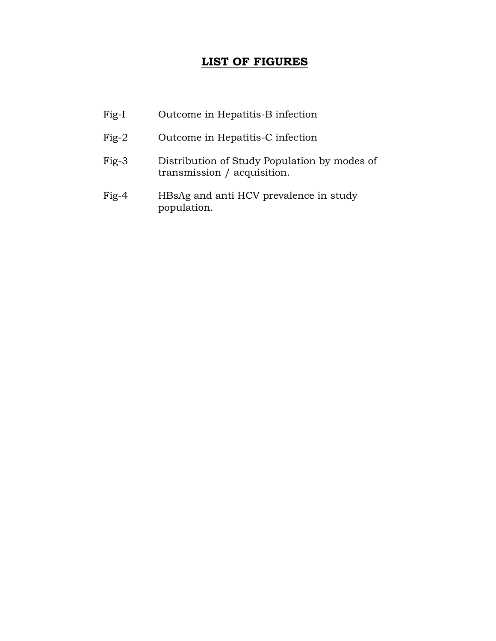## **LIST OF FIGURES**

| Fig-I   | Outcome in Hepatitis-B infection                                            |
|---------|-----------------------------------------------------------------------------|
| $Fig-2$ | Outcome in Hepatitis-C infection                                            |
| $Fig-3$ | Distribution of Study Population by modes of<br>transmission / acquisition. |
| $Fig-4$ | HBsAg and anti HCV prevalence in study<br>population.                       |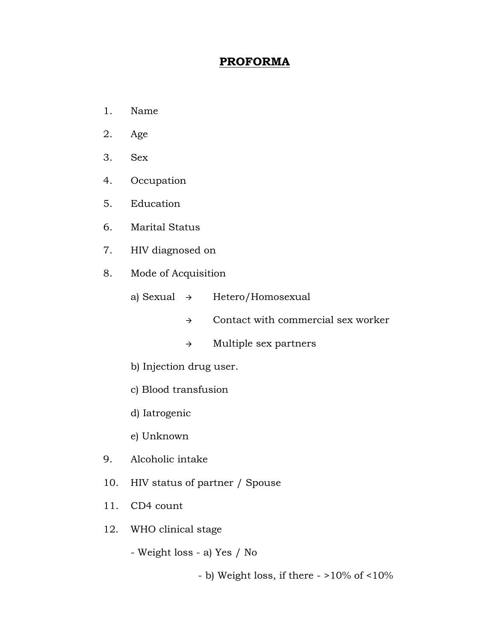## **PROFORMA**

- 1. Name
- 2. Age
- 3. Sex
- 4. Occupation
- 5. Education
- 6. Marital Status
- 7. HIV diagnosed on
- 8. Mode of Acquisition
	- a) Sexual  $\rightarrow$  Hetero/Homosexual
		- $\rightarrow$  Contact with commercial sex worker
		- $\rightarrow$  Multiple sex partners
	- b) Injection drug user.
	- c) Blood transfusion
	- d) Iatrogenic
	- e) Unknown
- 9. Alcoholic intake
- 10. HIV status of partner / Spouse
- 11. CD4 count
- 12. WHO clinical stage
	- Weight loss a) Yes / No
		- b) Weight loss, if there >10% of <10%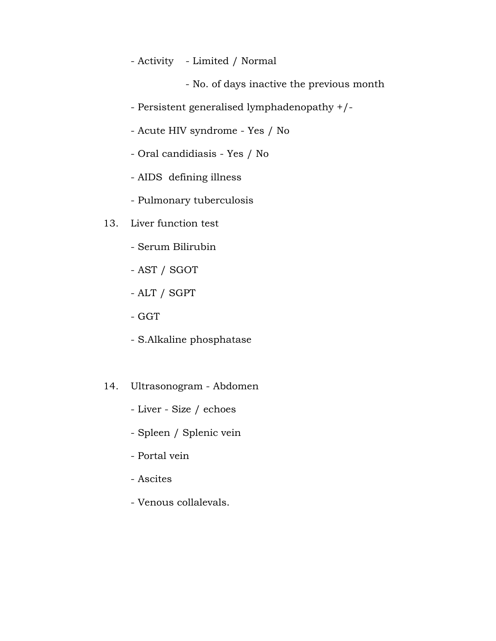- Activity - Limited / Normal

- No. of days inactive the previous month

- Persistent generalised lymphadenopathy +/-
- Acute HIV syndrome Yes / No
- Oral candidiasis Yes / No
- AIDS defining illness
- Pulmonary tuberculosis
- 13. Liver function test
	- Serum Bilirubin
	- AST / SGOT
	- ALT / SGPT
	- GGT
	- S.Alkaline phosphatase
- 14. Ultrasonogram Abdomen
	- Liver Size / echoes
	- Spleen / Splenic vein
	- Portal vein
	- Ascites
	- Venous collalevals.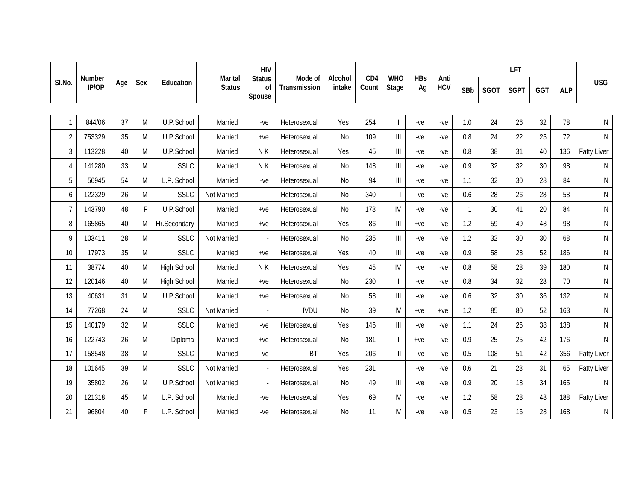|                |                 |     |     |                    |                                 | <b>HIV</b>                    |                         |                   |                          |                                                                           |                  |                    |              | <b>LFT</b>  |             |     |            |                    |
|----------------|-----------------|-----|-----|--------------------|---------------------------------|-------------------------------|-------------------------|-------------------|--------------------------|---------------------------------------------------------------------------|------------------|--------------------|--------------|-------------|-------------|-----|------------|--------------------|
| SI.No.         | Number<br>IP/OP | Age | Sex | Education          | <b>Marital</b><br><b>Status</b> | <b>Status</b><br>οf<br>Spouse | Mode of<br>Transmission | Alcohol<br>intake | CD <sub>4</sub><br>Count | <b>WHO</b><br>Stage                                                       | <b>HBs</b><br>Ag | Anti<br><b>HCV</b> | SBb          | <b>SGOT</b> | <b>SGPT</b> | GGT | <b>ALP</b> | <b>USG</b>         |
|                |                 |     |     |                    |                                 |                               |                         |                   |                          |                                                                           |                  |                    |              |             |             |     |            |                    |
| $\mathbf{1}$   | 844/06          | 37  | M   | U.P.School         | Married                         | $-ve$                         | Heterosexual            | Yes               | 254                      | $\vert\vert$                                                              | $-ve$            | -ve                | 1.0          | 24          | 26          | 32  | 78         | ${\sf N}$          |
| $\overline{2}$ | 753329          | 35  | M   | U.P.School         | Married                         | $+ve$                         | Heterosexual            | No                | 109                      | $\parallel$                                                               | $-ve$            | -ve                | 0.8          | 24          | 22          | 25  | 72         | ${\sf N}$          |
| 3              | 113228          | 40  | M   | U.P.School         | Married                         | N K                           | Heterosexual            | Yes               | 45                       | $\parallel \parallel$                                                     | $-ve$            | -ve                | 0.8          | 38          | 31          | 40  | 136        | <b>Fatty Liver</b> |
| 4              | 141280          | 33  | M   | <b>SSLC</b>        | Married                         | NK                            | Heterosexual            | No                | 148                      | $\label{eq:1} \prod_{i=1}^n \left\{ \prod_{i=1}^n \frac{1}{n_i} \right\}$ | $-ve$            | -ve                | 0.9          | 32          | 32          | 30  | 98         | $\mathsf{N}$       |
| 5              | 56945           | 54  | M   | L.P. School        | Married                         | $-ve$                         | Heterosexual            | No                | 94                       | $\begin{array}{c} \hline \end{array}$                                     | $-ve$            | -ve                | 1.1          | 32          | 30          | 28  | 84         | N                  |
| 6              | 122329          | 26  | M   | SSLC               | Not Married                     |                               | Heterosexual            | No                | 340                      | $\overline{\phantom{a}}$                                                  | $-ve$            | -ve                | 0.6          | 28          | 26          | 28  | 58         | $\mathsf{N}$       |
| $\overline{7}$ | 143790          | 48  | F.  | U.P.School         | Married                         | $+ve$                         | Heterosexual            | No                | 178                      | IV                                                                        | $-ve$            | -ve                | $\mathbf{1}$ | 30          | 41          | 20  | 84         | $\mathsf{N}$       |
| 8              | 165865          | 40  | M   | Hr.Secondary       | Married                         | $+ve$                         | Heterosexual            | Yes               | 86                       | $\ensuremath{\mathsf{III}}\xspace$                                        | $+ve$            | -ve                | 1.2          | 59          | 49          | 48  | 98         | N                  |
| 9              | 103411          | 28  | M   | <b>SSLC</b>        | Not Married                     |                               | Heterosexual            | No                | 235                      | $\label{eq:1} \prod_{i=1}^n \left\{ \prod_{i=1}^n \frac{1}{n_i} \right\}$ | $-ve$            | -ve                | 1.2          | 32          | 30          | 30  | 68         | $\mathsf{N}$       |
| 10             | 17973           | 35  | M   | <b>SSLC</b>        | Married                         | $+ve$                         | Heterosexual            | Yes               | 40                       | $\begin{array}{c} \hline \end{array}$                                     | $-ve$            | -ve                | 0.9          | 58          | 28          | 52  | 186        | ${\sf N}$          |
| 11             | 38774           | 40  | M   | <b>High School</b> | Married                         | NK                            | Heterosexual            | Yes               | 45                       | IV                                                                        | $-ve$            | -ve                | 0.8          | 58          | 28          | 39  | 180        | $\mathsf{N}$       |
| 12             | 120146          | 40  | M   | <b>High School</b> | Married                         | $+ve$                         | Heterosexual            | No                | 230                      | $\label{eq:1} \prod_{i=1}^n \alpha_i$                                     | $-ve$            | -ve                | 0.8          | 34          | 32          | 28  | 70         | ${\sf N}$          |
| 13             | 40631           | 31  | M   | U.P.School         | Married                         | $+ve$                         | Heterosexual            | No                | 58                       | $\parallel$                                                               | $-ve$            | -ve                | 0.6          | 32          | 30          | 36  | 132        | $\mathsf{N}$       |
| 14             | 77268           | 24  | M   | <b>SSLC</b>        | Not Married                     |                               | <b>IVDU</b>             | No                | 39                       | IV                                                                        | $+ve$            | $+ve$              | 1.2          | 85          | 80          | 52  | 163        | $\mathsf{N}$       |
| 15             | 140179          | 32  | M   | <b>SSLC</b>        | Married                         | $-ve$                         | Heterosexual            | Yes               | 146                      | $\begin{array}{c} \hline \end{array}$                                     | $-ve$            | -ve                | 1.1          | 24          | 26          | 38  | 138        | ${\sf N}$          |
| 16             | 122743          | 26  | M   | Diploma            | Married                         | $+ve$                         | Heterosexual            | No                | 181                      | $\mathbf{I}$                                                              | $+ve$            | $-ve$              | 0.9          | 25          | 25          | 42  | 176        | N                  |
| 17             | 158548          | 38  | M   | <b>SSLC</b>        | Married                         | $-ve$                         | <b>BT</b>               | Yes               | 206                      | $\mathbf{I}$                                                              | $-ve$            | $-ve$              | 0.5          | 108         | 51          | 42  | 356        | <b>Fatty Liver</b> |
| 18             | 101645          | 39  | M   | <b>SSLC</b>        | Not Married                     |                               | Heterosexual            | Yes               | 231                      |                                                                           | $-ve$            | $-ve$              | 0.6          | 21          | 28          | 31  | 65         | <b>Fatty Liver</b> |
| 19             | 35802           | 26  | M   | U.P.School         | Not Married                     |                               | Heterosexual            | N <sub>0</sub>    | 49                       | $\parallel \parallel$                                                     | $-ve$            | $-ve$              | 0.9          | 20          | 18          | 34  | 165        | N                  |
| 20             | 121318          | 45  | M   | L.P. School        | Married                         | $-ve$                         | Heterosexual            | Yes               | 69                       | IV                                                                        | $-ve$            | $-ve$              | 1.2          | 58          | 28          | 48  | 188        | <b>Fatty Liver</b> |
| 21             | 96804           | 40  | F   | L.P. School        | Married                         | $-ve$                         | Heterosexual            | N <sub>0</sub>    | 11                       | IV                                                                        | $-ve$            | -ve                | 0.5          | 23          | 16          | 28  | 168        | N                  |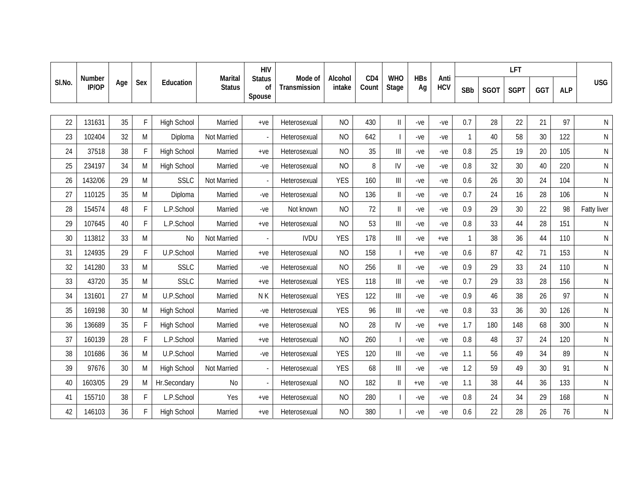|        |                 |     |     |                    | <b>Marital</b> | <b>HIV</b>                    |                         |                   |                          |                                                                           |                  |                    | <b>LFT</b>   |             |             |                 |            |              |
|--------|-----------------|-----|-----|--------------------|----------------|-------------------------------|-------------------------|-------------------|--------------------------|---------------------------------------------------------------------------|------------------|--------------------|--------------|-------------|-------------|-----------------|------------|--------------|
| SI.No. | Number<br>IP/OP | Age | Sex | Education          | <b>Status</b>  | <b>Status</b><br>οf<br>Spouse | Mode of<br>Transmission | Alcohol<br>intake | CD <sub>4</sub><br>Count | <b>WHO</b><br>Stage                                                       | <b>HBs</b><br>Ag | Anti<br><b>HCV</b> | SBb          | <b>SGOT</b> | <b>SGPT</b> | GGT             | <b>ALP</b> | <b>USG</b>   |
|        |                 |     |     |                    |                |                               |                         |                   |                          |                                                                           |                  |                    |              |             |             |                 |            |              |
| 22     | 131631          | 35  | F   | <b>High School</b> | Married        | $+ve$                         | Heterosexual            | <b>NO</b>         | 430                      | $\ensuremath{\mathsf{II}}$                                                | $-ve$            | -ve                | 0.7          | 28          | 22          | 21              | 97         | ${\sf N}$    |
| 23     | 102404          | 32  | M   | Diploma            | Not Married    |                               | Heterosexual            | <b>NO</b>         | 642                      | $\blacksquare$                                                            | $-ve$            | -ve                | $\mathbf{1}$ | 40          | 58          | 30              | 122        | ${\sf N}$    |
| 24     | 37518           | 38  | F   | <b>High School</b> | Married        | $+ve$                         | Heterosexual            | <b>NO</b>         | 35                       | $\parallel \parallel$                                                     | $-ve$            | -ve                | 0.8          | 25          | 19          | 20              | 105        | $\mathsf{N}$ |
| 25     | 234197          | 34  | M   | <b>High School</b> | Married        | $-ve$                         | Heterosexual            | <b>NO</b>         | 8                        | IV                                                                        | $-ve$            | -ve                | 0.8          | 32          | 30          | 40              | 220        | $\mathsf{N}$ |
| 26     | 1432/06         | 29  | M   | <b>SSLC</b>        | Not Married    |                               | Heterosexual            | <b>YES</b>        | 160                      | $\ensuremath{\mathsf{III}}\xspace$                                        | $-ve$            | -ve                | 0.6          | 26          | 30          | 24              | 104        | $\mathsf{N}$ |
| 27     | 110125          | 35  | M   | Diploma            | Married        | $-ve$                         | Heterosexual            | <b>NO</b>         | 136                      | $\ensuremath{\mathsf{II}}$                                                | $-ve$            | -ve                | 0.7          | 24          | 16          | 28              | 106        | ${\sf N}$    |
| 28     | 154574          | 48  | F.  | L.P.School         | Married        | $-ve$                         | Not known               | <b>NO</b>         | 72                       | $\ensuremath{\mathsf{II}}$                                                | $-ve$            | -ve                | 0.9          | 29          | 30          | 22              | 98         | Fatty liver  |
| 29     | 107645          | 40  | F.  | L.P.School         | Married        | $+ve$                         | Heterosexual            | <b>NO</b>         | 53                       | $\ensuremath{\mathsf{III}}\xspace$                                        | $-ve$            | $-ve$              | 0.8          | 33          | 44          | 28              | 151        | N            |
| 30     | 113812          | 33  | M   | <b>No</b>          | Not Married    |                               | <b>IVDU</b>             | <b>YES</b>        | 178                      | $\mathbf{III}$                                                            | $-ve$            | $+ve$              | $\mathbf{1}$ | 38          | 36          | 44              | 110        | $\mathsf{N}$ |
| 31     | 124935          | 29  | F.  | U.P.School         | Married        | $+ve$                         | Heterosexual            | <b>NO</b>         | 158                      | $\overline{\phantom{a}}$                                                  | $+ve$            | $-ve$              | 0.6          | 87          | 42          | 71              | 153        | ${\sf N}$    |
| 32     | 141280          | 33  | M   | SSLC               | Married        | $-ve$                         | Heterosexual            | <b>NO</b>         | 256                      | $\label{eq:1} \prod_{i=1}^n \alpha_i$                                     | $-ve$            | -ve                | 0.9          | 29          | 33          | 24              | 110        | $\mathsf{N}$ |
| 33     | 43720           | 35  | M   | <b>SSLC</b>        | Married        | $+ve$                         | Heterosexual            | <b>YES</b>        | 118                      | $\label{eq:1} \prod_{i=1}^n \left\{ \prod_{i=1}^n \frac{1}{n_i} \right\}$ | $-ve$            | -ve                | 0.7          | 29          | 33          | 28              | 156        | $\mathsf{N}$ |
| 34     | 131601          | 27  | M   | U.P.School         | Married        | N K                           | Heterosexual            | <b>YES</b>        | 122                      | $\ensuremath{\mathsf{III}}\xspace$                                        | -ve              | -ve                | 0.9          | 46          | 38          | 26              | 97         | $\mathsf{N}$ |
| 35     | 169198          | 30  | M   | <b>High School</b> | Married        | $-ve$                         | Heterosexual            | <b>YES</b>        | 96                       | $\label{eq:1} \prod_{i=1}^n \left\{ \prod_{i=1}^n \frac{1}{n_i} \right\}$ | $-ve$            | -ve                | 0.8          | 33          | 36          | 30              | 126        | $\mathsf{N}$ |
| 36     | 136689          | 35  | E   | <b>High School</b> | Married        | $+ve$                         | Heterosexual            | <b>NO</b>         | 28                       | $\mathsf{IV}$                                                             | $-ve$            | $+ve$              | 1.7          | 180         | 148         | 68              | 300        | $\mathsf{N}$ |
| 37     | 160139          | 28  | F.  | L.P.School         | Married        | $+ve$                         | Heterosexual            | <b>NO</b>         | 260                      | $\overline{\phantom{a}}$                                                  | $-ve$            | $-ve$              | 0.8          | 48          | 37          | 24              | 120        | $\mathsf{N}$ |
| 38     | 101686          | 36  | M   | U.P.School         | Married        | $-ve$                         | Heterosexual            | <b>YES</b>        | 120                      | $\begin{array}{c} \hline \end{array}$                                     | $-ve$            | $-ve$              | 1.1          | 56          | 49          | 34              | 89         | $\mathsf{N}$ |
| 39     | 97676           | 30  | M   | <b>High School</b> | Not Married    |                               | Heterosexual            | <b>YES</b>        | 68                       | $\label{eq:1} \prod_{i=1}^n \left\{ \prod_{i=1}^n \frac{1}{n_i} \right\}$ | $-ve$            | $-ve$              | 1.2          | 59          | 49          | 30 <sup>°</sup> | 91         | N            |
| 40     | 1603/05         | 29  | M   | Hr.Secondary       | No             |                               | Heterosexual            | N <sub>O</sub>    | 182                      | $\mathbf{I}$                                                              | $+ve$            | $-ve$              | 1.1          | 38          | 44          | 36              | 133        | N            |
| 41     | 155710          | 38  | F   | L.P.School         | Yes            | $+ve$                         | Heterosexual            | <b>NO</b>         | 280                      |                                                                           | $-ve$            | $-ve$              | $0.8\,$      | 24          | 34          | 29              | 168        | N            |
| 42     | 146103          | 36  | F   | <b>High School</b> | Married        | $+ve$                         | Heterosexual            | <b>NO</b>         | 380                      |                                                                           | -ve              | -ve                | 0.6          | 22          | 28          | 26              | 76         | $\mathsf{N}$ |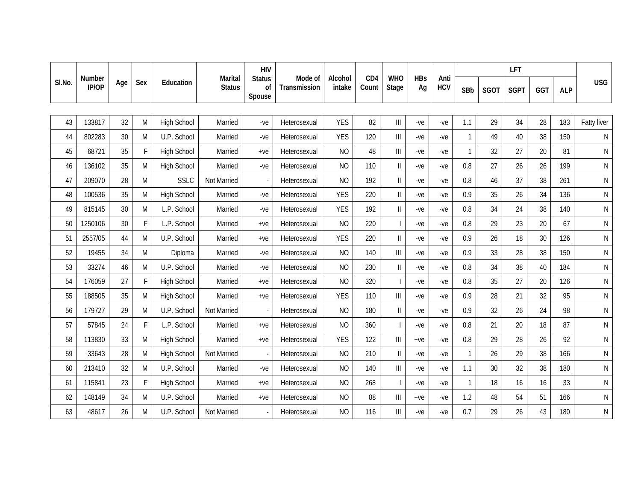|        |                 |     |     |                    |                                 | <b>HIV</b>                    |                         |                   |                          |                                                                           |                  |                    | <b>LFT</b>   |             |             |     |            |              |
|--------|-----------------|-----|-----|--------------------|---------------------------------|-------------------------------|-------------------------|-------------------|--------------------------|---------------------------------------------------------------------------|------------------|--------------------|--------------|-------------|-------------|-----|------------|--------------|
| SI.No. | Number<br>IP/OP | Age | Sex | Education          | <b>Marital</b><br><b>Status</b> | <b>Status</b><br>οf<br>Spouse | Mode of<br>Transmission | Alcohol<br>intake | CD <sub>4</sub><br>Count | <b>WHO</b><br>Stage                                                       | <b>HBs</b><br>Ag | Anti<br><b>HCV</b> | SBb          | <b>SGOT</b> | <b>SGPT</b> | GGT | <b>ALP</b> | <b>USG</b>   |
|        |                 |     |     |                    |                                 |                               |                         |                   |                          |                                                                           |                  |                    |              |             |             |     |            |              |
| 43     | 133817          | 32  | M   | <b>High School</b> | Married                         | $-ve$                         | Heterosexual            | <b>YES</b>        | 82                       | $\begin{array}{c} \hline \end{array}$                                     | -ve              | -ve                | 1.1          | 29          | 34          | 28  | 183        | Fatty liver  |
| 44     | 802283          | 30  | M   | U.P. School        | Married                         | $-ve$                         | Heterosexual            | <b>YES</b>        | 120                      | $\ensuremath{\mathsf{III}}\xspace$                                        | $-ve$            | -ve                | $\mathbf{1}$ | 49          | 40          | 38  | 150        | $\mathsf{N}$ |
| 45     | 68721           | 35  | F.  | <b>High School</b> | Married                         | $+ve$                         | Heterosexual            | <b>NO</b>         | 48                       | $\label{eq:1} \prod_{i=1}^n \left\{ \prod_{i=1}^n \frac{1}{n_i} \right\}$ | $-ve$            | -ve                | $\mathbf{1}$ | 32          | 27          | 20  | 81         | $\mathsf{N}$ |
| 46     | 136102          | 35  | M   | <b>High School</b> | Married                         | $-ve$                         | Heterosexual            | <b>NO</b>         | 110                      | $\ensuremath{\mathsf{II}}$                                                | $-ve$            | -ve                | 0.8          | 27          | 26          | 26  | 199        | $\mathsf{N}$ |
| 47     | 209070          | 28  | M   | <b>SSLC</b>        | Not Married                     |                               | Heterosexual            | <b>NO</b>         | 192                      | $\ensuremath{\mathsf{II}}$                                                | $-ve$            | -ve                | 0.8          | 46          | 37          | 38  | 261        | $\mathsf{N}$ |
| 48     | 100536          | 35  | M   | <b>High School</b> | Married                         | $-ve$                         | Heterosexual            | <b>YES</b>        | 220                      | $\ensuremath{\mathsf{II}}$                                                | $-ve$            | -ve                | 0.9          | 35          | 26          | 34  | 136        | $\mathsf{N}$ |
| 49     | 815145          | 30  | M   | L.P. School        | Married                         | $-ve$                         | Heterosexual            | <b>YES</b>        | 192                      | $\ensuremath{\mathsf{II}}$                                                | $-ve$            | -ve                | 0.8          | 34          | 24          | 38  | 140        | $\mathsf{N}$ |
| 50     | 1250106         | 30  | F.  | L.P. School        | Married                         | $+ve$                         | Heterosexual            | <b>NO</b>         | 220                      | $\overline{\phantom{a}}$                                                  | $-ve$            | -ve                | 0.8          | 29          | 23          | 20  | 67         | N            |
| 51     | 2557/05         | 44  | M   | U.P. School        | Married                         | $+ve$                         | Heterosexual            | <b>YES</b>        | 220                      | $\mathbf{I}$                                                              | $-ve$            | -ve                | 0.9          | 26          | 18          | 30  | 126        | $\mathsf{N}$ |
| 52     | 19455           | 34  | M   | Diploma            | Married                         | $-ve$                         | Heterosexual            | <b>NO</b>         | 140                      | $\begin{array}{c} \hline \end{array}$                                     | $-ve$            | $-ve$              | 0.9          | 33          | 28          | 38  | 150        | $\mathsf{N}$ |
| 53     | 33274           | 46  | M   | U.P. School        | Married                         | $-ve$                         | Heterosexual            | <b>NO</b>         | 230                      | $\ensuremath{\mathsf{II}}$                                                | $-ve$            | -ve                | 0.8          | 34          | 38          | 40  | 184        | $\mathsf{N}$ |
| 54     | 176059          | 27  | E   | <b>High School</b> | Married                         | $+ve$                         | Heterosexual            | <b>NO</b>         | 320                      | $\blacksquare$                                                            | $-ve$            | -ve                | 0.8          | 35          | 27          | 20  | 126        | $\mathsf{N}$ |
| 55     | 188505          | 35  | M   | <b>High School</b> | Married                         | $+ve$                         | Heterosexual            | <b>YES</b>        | 110                      | $\label{eq:1} \prod_{i=1}^n \left\{ \prod_{i=1}^n \frac{1}{n_i} \right\}$ | $-ve$            | -ve                | 0.9          | 28          | 21          | 32  | 95         | $\mathsf{N}$ |
| 56     | 179727          | 29  | M   | U.P. School        | Not Married                     |                               | Heterosexual            | <b>NO</b>         | 180                      | $\ensuremath{\mathsf{II}}$                                                | $-ve$            | -ve                | 0.9          | 32          | 26          | 24  | 98         | $\mathsf{N}$ |
| 57     | 57845           | 24  | E   | L.P. School        | Married                         | $+ve$                         | Heterosexual            | <b>NO</b>         | 360                      | $\overline{\phantom{a}}$                                                  | $-ve$            | -ve                | 0.8          | 21          | 20          | 18  | 87         | $\mathsf{N}$ |
| 58     | 113830          | 33  | M   | <b>High School</b> | Married                         | $+ve$                         | Heterosexual            | <b>YES</b>        | 122                      | $\begin{array}{c} \hline \end{array}$                                     | $+ve$            | $-ve$              | 0.8          | 29          | 28          | 26  | 92         | ${\sf N}$    |
| 59     | 33643           | 28  | M   | <b>High School</b> | Not Married                     |                               | Heterosexual            | <b>NO</b>         | 210                      | $\mathbf{I}$                                                              | $-ve$            | $-ve$              | $\mathbf{1}$ | 26          | 29          | 38  | 166        | ${\sf N}$    |
| 60     | 213410          | 32  | M   | U.P. School        | Married                         | $-ve$                         | Heterosexual            | N <sub>O</sub>    | 140                      | $\label{eq:1} \prod_{i=1}^n \left\{ \prod_{i=1}^n \frac{1}{n_i} \right\}$ | $-ve$            | $-ve$              | 1.1          | 30          | 32          | 38  | 180        | N            |
| 61     | 115841          | 23  | F   | <b>High School</b> | Married                         | $+ve$                         | Heterosexual            | NO                | 268                      |                                                                           | $-ve$            | $-ve$              | $\mathbf{1}$ | 18          | 16          | 16  | 33         | N            |
| 62     | 148149          | 34  | M   | U.P. School        | Married                         | $+ve$                         | Heterosexual            | <b>NO</b>         | 88                       | $\begin{array}{c} \hline \end{array}$                                     | $+ve$            | $-ve$              | 1.2          | 48          | 54          | 51  | 166        | N            |
| 63     | 48617           | 26  | M   | U.P. School        | Not Married                     |                               | Heterosexual            | <b>NO</b>         | 116                      | $\parallel$                                                               | $-ve$            | -ve                | 0.7          | 29          | 26          | 43  | 180        | ${\sf N}$    |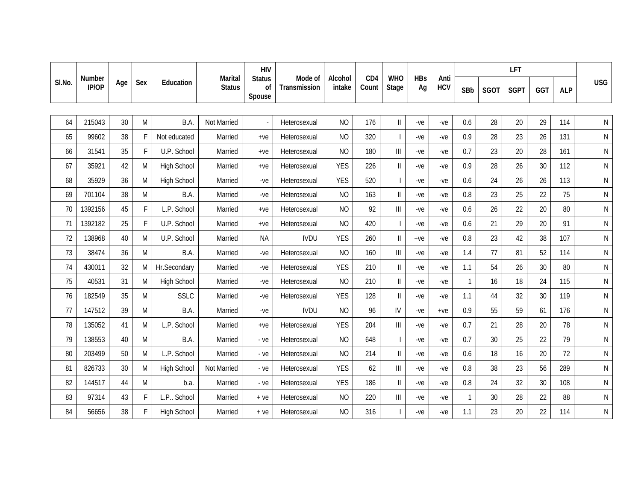|        |                 |     |     |                    |                                 | <b>HIV</b>                    | Mode of      |                   |                          |                                                                           |                  |                    |              |             | LFT         |     |            |              |
|--------|-----------------|-----|-----|--------------------|---------------------------------|-------------------------------|--------------|-------------------|--------------------------|---------------------------------------------------------------------------|------------------|--------------------|--------------|-------------|-------------|-----|------------|--------------|
| SI.No. | Number<br>IP/OP | Age | Sex | Education          | <b>Marital</b><br><b>Status</b> | <b>Status</b><br>οf<br>Spouse | Transmission | Alcohol<br>intake | CD <sub>4</sub><br>Count | <b>WHO</b><br>Stage                                                       | <b>HBs</b><br>Ag | Anti<br><b>HCV</b> | SBb          | <b>SGOT</b> | <b>SGPT</b> | GGT | <b>ALP</b> | <b>USG</b>   |
|        |                 |     |     |                    |                                 |                               |              |                   |                          |                                                                           |                  |                    |              |             |             |     |            |              |
| 64     | 215043          | 30  | M   | B.A.               | Not Married                     |                               | Heterosexual | <b>NO</b>         | 176                      | $\ensuremath{\mathsf{II}}$                                                | $-ve$            | -ve                | 0.6          | 28          | 20          | 29  | 114        | $\mathsf{N}$ |
| 65     | 99602           | 38  | F   | Not educated       | Married                         | $+ve$                         | Heterosexual | <b>NO</b>         | 320                      | $\overline{\phantom{a}}$                                                  | $-ve$            | -ve                | 0.9          | 28          | 23          | 26  | 131        | $\mathsf{N}$ |
| 66     | 31541           | 35  | F   | U.P. School        | Married                         | $+ve$                         | Heterosexual | <b>NO</b>         | 180                      | Ш                                                                         | $-ve$            | -ve                | 0.7          | 23          | 20          | 28  | 161        | $\mathsf{N}$ |
| 67     | 35921           | 42  | M   | <b>High School</b> | Married                         | $+ve$                         | Heterosexual | <b>YES</b>        | 226                      | $\ensuremath{\mathsf{II}}$                                                | $-ve$            | -ve                | 0.9          | 28          | 26          | 30  | 112        | $\mathsf{N}$ |
| 68     | 35929           | 36  | M   | <b>High School</b> | Married                         | $-ve$                         | Heterosexual | <b>YES</b>        | 520                      | $\overline{\phantom{a}}$                                                  | $-ve$            | -ve                | 0.6          | 24          | 26          | 26  | 113        | $\mathsf{N}$ |
| 69     | 701104          | 38  | M   | B.A.               | Married                         | $-ve$                         | Heterosexual | <b>NO</b>         | 163                      | $\ensuremath{\mathsf{II}}$                                                | $-ve$            | -ve                | 0.8          | 23          | 25          | 22  | 75         | $\mathsf{N}$ |
| 70     | 1392156         | 45  | F   | L.P. School        | Married                         | $+ve$                         | Heterosexual | <b>NO</b>         | 92                       | III                                                                       | $-ve$            | -ve                | 0.6          | 26          | 22          | 20  | 80         | $\mathsf{N}$ |
| 71     | 1392182         | 25  | F   | U.P. School        | Married                         | $+ve$                         | Heterosexual | <b>NO</b>         | 420                      | $\blacksquare$                                                            | $-ve$            | $-ve$              | 0.6          | 21          | 29          | 20  | 91         | $\mathsf{N}$ |
| 72     | 138968          | 40  | M   | U.P. School        | Married                         | <b>NA</b>                     | <b>IVDU</b>  | <b>YES</b>        | 260                      | $\label{eq:1} \prod_{i=1}^n \alpha_i$                                     | $+ve$            | $-ve$              | 0.8          | 23          | 42          | 38  | 107        | ${\sf N}$    |
| 73     | 38474           | 36  | M   | B.A.               | Married                         | $-ve$                         | Heterosexual | <b>NO</b>         | 160                      | $\ensuremath{\mathsf{III}}\xspace$                                        | $-ve$            | -ve                | 1.4          | 77          | 81          | 52  | 114        | $\mathsf{N}$ |
| 74     | 430011          | 32  | M   | Hr.Secondary       | Married                         | $-ve$                         | Heterosexual | <b>YES</b>        | 210                      | $\mathbf{I}$                                                              | $-ve$            | -ve                | 1.1          | 54          | 26          | 30  | 80         | $\mathsf{N}$ |
| 75     | 40531           | 31  | M   | <b>High School</b> | Married                         | $-ve$                         | Heterosexual | <b>NO</b>         | 210                      | $\label{eq:1} \prod_{i=1}^n \mathbb{I}_i$                                 | $-ve$            | -ve                | $\mathbf{1}$ | 16          | 18          | 24  | 115        | $\mathsf{N}$ |
| 76     | 182549          | 35  | M   | <b>SSLC</b>        | Married                         | $-ve$                         | Heterosexual | <b>YES</b>        | 128                      | $\label{eq:1} \prod_{i=1}^n \alpha_i$                                     | $-ve$            | -ve                | 1.1          | 44          | 32          | 30  | 119        | $\mathsf{N}$ |
| 77     | 147512          | 39  | M   | B.A.               | Married                         | $-ve$                         | <b>IVDU</b>  | <b>NO</b>         | 96                       | IV                                                                        | $-ve$            | $+ve$              | 0.9          | 55          | 59          | 61  | 176        | ${\sf N}$    |
| 78     | 135052          | 41  | M   | L.P. School        | Married                         | $+ve$                         | Heterosexual | <b>YES</b>        | 204                      | $\mathbf{III}$                                                            | $-ve$            | -ve                | 0.7          | 21          | 28          | 20  | 78         | N            |
| 79     | 138553          | 40  | M   | B.A.               | Married                         | - ve                          | Heterosexual | <b>NO</b>         | 648                      | $\overline{\phantom{a}}$                                                  | $-ve$            | $-ve$              | 0.7          | 30          | 25          | 22  | 79         | $\mathsf{N}$ |
| 80     | 203499          | 50  | M   | L.P. School        | Married                         | - ve                          | Heterosexual | <b>NO</b>         | 214                      | $\mathop{  }$                                                             | $-ve$            | $-ve$              | 0.6          | 18          | 16          | 20  | 72         | ${\sf N}$    |
| 81     | 826733          | 30  | M   | <b>High School</b> | Not Married                     | $-ve$                         | Heterosexual | <b>YES</b>        | 62                       | $\label{eq:1} \prod_{i=1}^n \left\{ \prod_{i=1}^n \frac{1}{n_i} \right\}$ | $-ve$            | $-ve$              | 0.8          | 38          | 23          | 56  | 289        | $\mathsf{N}$ |
| 82     | 144517          | 44  | M   | b.a.               | Married                         | - ve                          | Heterosexual | <b>YES</b>        | 186                      | $\mathop{  }$                                                             | $-ve$            | $-ve$              | 0.8          | 24          | 32          | 30  | 108        | N            |
| 83     | 97314           | 43  | F   | L.P School         | Married                         | $+ve$                         | Heterosexual | <b>NO</b>         | 220                      | $\begin{array}{c} \hline \end{array}$                                     | $-ve$            | $-ve$              | $\mathbf{1}$ | 30          | 28          | 22  | 88         | N            |
| 84     | 56656           | 38  | F   | High School        | Married                         | $+ve$                         | Heterosexual | <b>NO</b>         | 316                      |                                                                           | -ve              | -ve                | 1.1          | 23          | $20\,$      | 22  | 114        | ${\sf N}$    |